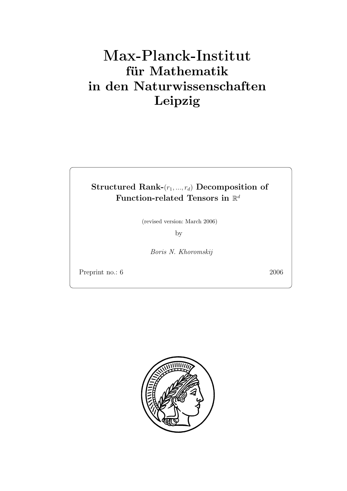# **für Mathematik in den Naturwissenschaften Leipzig**

## **Structured Rank-**( $r_1, ..., r_d$ ) **Decomposition of Function-related Tensors in**  $\mathbb{R}^d$

(revised version: March 2006)

by

Boris N. Khoromskij

Preprint no.: 6 2006

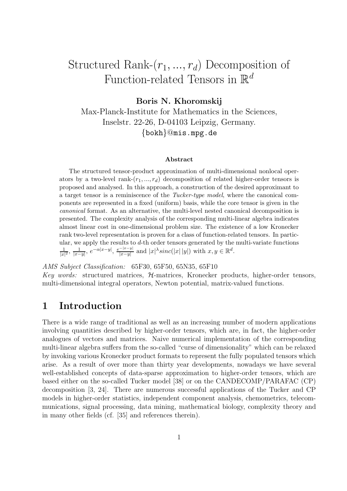## Structured Rank- $(r_1, ..., r_d)$  Decomposition of Function-related Tensors in  $\mathbb{R}^d$

**Boris N. Khoromskij**

Max-Planck-Institute for Mathematics in the Sciences, Inselstr. 22-26, D-04103 Leipzig, Germany. {bokh}@mis.mpg.de

#### **Abstract**

The structured tensor-product approximation of multi-dimensional nonlocal operators by a two-level rank- $(r_1, ..., r_d)$  decomposition of related higher-order tensors is proposed and analysed. In this approach, a construction of the desired approximant to a target tensor is a reminiscence of the *Tucker-type model*, where the canonical components are represented in a fixed (uniform) basis, while the core tensor is given in the *canonical* format. As an alternative, the multi-level nested canonical decomposition is presented. The complexity analysis of the corresponding multi-linear algebra indicates almost linear cost in one-dimensional problem size. The existence of a low Kronecker rank two-level representation is proven for a class of function-related tensors. In particular, we apply the results to *d*-th order tensors generated by the multi-variate functions  $\frac{1}{|x|^2}$ ,  $\frac{1}{|x-y|}$ ,  $e^{-\alpha|x-y|}$ ,  $\frac{e^{-|x-y|}}{|x-y|}$  and  $|x|^{\lambda} sinc(|x||y|)$  with  $x, y \in \mathbb{R}^d$ .

AMS Subject Classification: 65F30, 65F50, 65N35, 65F10 Key words: structured matrices, H-matrices, Kronecker products, higher-order tensors, multi-dimensional integral operators, Newton potential, matrix-valued functions.

## **1 Introduction**

There is a wide range of traditional as well as an increasing number of modern applications involving quantities described by higher-order tensors, which are, in fact, the higher-order analogues of vectors and matrices. Naive numerical implementation of the corresponding multi-linear algebra suffers from the so-called "curse of dimensionality" which can be relaxed by invoking various Kronecker product formats to represent the fully populated tensors which arise. As a result of over more than thirty year developments, nowadays we have several well-established concepts of data-sparse approximation to higher-order tensors, which are based either on the so-called Tucker model [38] or on the CANDECOMP/PARAFAC (CP) decomposition [3, 24]. There are numerous successful applications of the Tucker and CP models in higher-order statistics, independent component analysis, chemometrics, telecommunications, signal processing, data mining, mathematical biology, complexity theory and in many other fields (cf. [35] and references therein).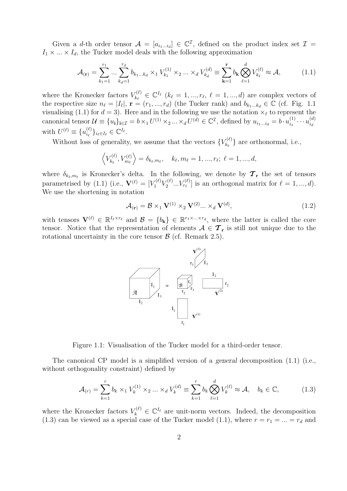Given a d-th order tensor  $\mathcal{A} = [a_{i_1...i_d}] \in \mathbb{C}^{\mathcal{I}}$ , defined on the product index set  $\mathcal{I} =$  $I_1 \times \ldots \times I_d$ , the Tucker model deals with the following approximation

$$
\mathcal{A}_{(\mathbf{r})} = \sum_{k_1=1}^{r_1} \dots \sum_{k_d=1}^{r_d} b_{k_1 \dots k_d} \times_1 V_{k_1}^{(1)} \times_2 \dots \times_d V_{k_d}^{(d)} \equiv \sum_{\mathbf{k}=1}^{\mathbf{r}} b_{\mathbf{k}} \bigotimes_{\ell=1}^d V_{k_\ell}^{(\ell)} \approx \mathcal{A},\tag{1.1}
$$

where the Kronecker factors  $V_{k_{\ell}}^{(\ell)} \in \mathbb{C}^{I_{\ell}}$   $(k_{\ell} = 1, ..., r_{\ell}, \ell = 1, ..., d)$  are complex vectors of the respective size  $n_{\ell} = |I_{\ell}|$ ,  $\mathbf{r} = (r_1, ..., r_d)$  (the Tucker rank) and  $b_{k_1...k_d} \in \mathbb{C}$  (cf. Fig. 1.1 visualising (1.1) for  $d = 3$ ). Here and in the following we use the notation  $\times_{\ell}$  to represent the canonical tensor  $\mathcal{U} \equiv \{u_i\}_{i \in \mathcal{I}} = b \times_1 U^{(1)} \times_2 ... \times_d U^{(d)} \in \mathbb{C}^{\mathcal{I}}$ , defined by  $u_{i_1...i_d} = b \cdot u_{i_1}^{(1)} \cdots u_{i_d}^{(d)}$ with  $U^{(\ell)} \equiv \{u_{i_{\ell}}^{(\ell)}\}_{i_{\ell} \in I_{\ell}} \in \mathbb{C}^{I_{\ell}}.$ 

Without loss of generality, we assume that the vectors  ${V_{k_{\ell}}^{(\ell)}}$  are orthonormal, i.e.,

$$
\langle V_{k_{\ell}}^{(\ell)}, V_{m_{\ell}}^{(\ell)} \rangle = \delta_{k_{\ell}, m_{\ell}}, \quad k_{\ell}, m_{\ell} = 1, ..., r_{\ell}; \ \ell = 1, ..., d,
$$

where  $\delta_{k_{\ell},m_{\ell}}$  is Kronecker's delta. In the following, we denote by  $\mathcal{T}_{r}$  the set of tensors parametrised by (1.1) (i.e.,  $\mathbf{V}^{(\ell)} = [V_1^{(\ell)} V_2^{(\ell)} \dots V_{r_\ell}^{(\ell)}]$  is an orthogonal matrix for  $\ell = 1, ..., d$ ). We use the shortening in notation

$$
\mathcal{A}_{(\mathbf{r})} = \mathcal{B} \times_1 \mathbf{V}^{(1)} \times_2 \mathbf{V}^{(2)} \dots \times_d \mathbf{V}^{(d)},
$$
\n(1.2)

with tensors  $\mathbf{V}^{(\ell)} \in \mathbb{R}^{I_{\ell} \times r_{\ell}}$  and  $\mathcal{B} = \{b_{k}\} \in \mathbb{R}^{r_{1} \times ... \times r_{d}}$ , where the latter is called the core tensor. Notice that the representation of elements  $A \in \mathcal{T}_{r}$  is still not unique due to the rotational uncertainty in the core tensor  $\beta$  (cf. Remark 2.5).



Figure 1.1: Visualisation of the Tucker model for a third-order tensor.

The canonical CP model is a simplified version of a *general* decomposition (1.1) (i.e., without orthogonality constraint) defined by

$$
\mathcal{A}_{(r)} = \sum_{k=1}^{r} b_k \times_1 V_k^{(1)} \times_2 \dots \times_d V_k^{(d)} \equiv \sum_{k=1}^{r} b_k \bigotimes_{\ell=1}^d V_k^{(\ell)} \approx \mathcal{A}, \quad b_k \in \mathbb{C},
$$
 (1.3)

where the Kronecker factors  $V_k^{(\ell)} \in \mathbb{C}^{I_\ell}$  are unit-norm vectors. Indeed, the decomposition (1.3) can be viewed as a special case of the Tucker model (1.1), where  $r = r_1 = ... = r_d$  and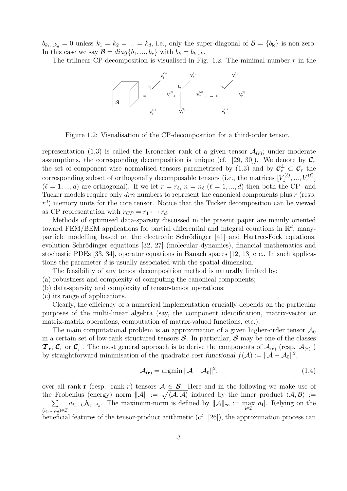$b_{k_1...k_d} = 0$  unless  $k_1 = k_2 = ... = k_d$ , i.e., only the super-diagonal of  $\mathcal{B} = \{b_k\}$  is non-zero. In this case we say  $\mathcal{B} = diag\{b_1, ..., b_r\}$  with  $b_k = b_{k...k}$ .

The trilinear CP-decomposition is visualised in Fig. 1.2. The minimal number  $r$  in the



Figure 1.2: Visualisation of the CP-decomposition for a third-order tensor.

representation (1.3) is called the Kronecker rank of a given tensor  $\mathcal{A}_{(r)}$ ; under moderate assumptions, the corresponding decomposition is unique (cf. [29, 30]). We denote by  $\mathcal{C}_r$ the set of component-wise normalised tensors parametrised by  $(1.3)$  and by  ${\cal C}_r^{\perp} \subset {\cal C}_r$  the corresponding subset of orthogonally decomposable tensors (i.e., the matrices  $[V_1^{(\ell)}, ..., V_r^{(\ell)}]$  $(\ell = 1, ..., d)$  are orthogonal). If we let  $r = r_{\ell}, n = n_{\ell}$  ( $\ell = 1, ..., d$ ) then both the CP- and Tucker models require only  $drn$  numbers to represent the canonical components plus r (resp.  $r<sup>d</sup>$ ) memory units for the core tensor. Notice that the Tucker decomposition can be viewed as CP representation with  $r_{CP} = r_1 \cdots r_d$ .

Methods of optimised data-sparsity discussed in the present paper are mainly oriented toward FEM/BEM applications for partial differential and integral equations in  $\mathbb{R}^d$ , manyparticle modelling based on the electronic Schrödinger [41] and Hartree-Fock equations, evolution Schrödinger equations [32, 27] (molecular dynamics), financial mathematics and stochastic PDEs [33, 34], operator equations in Banach spaces [12, 13] etc.. In such applications the parameter d is usually associated with the spatial dimension.

The feasibility of any tensor decomposition method is naturally limited by:

- (a) robustness and complexity of computing the canonical components;
- (b) data-sparsity and complexity of tensor-tensor operations;
- (c) its range of applications.

Clearly, the efficiency of a numerical implementation crucially depends on the particular purposes of the multi-linear algebra (say, the component identification, matrix-vector or matrix-matrix operations, computation of matrix-valued functions, etc.).

The main computational problem is an approximation of a given higher-order tensor  $\mathcal{A}_0$ in a certain set of low-rank structured tensors *S*. In particular, *S* may be one of the classes  $\mathcal{T}_r$ ,  $\mathcal{C}_r$  or  $\mathcal{C}_r^{\perp}$ . The most general approach is to derive the components of  $\mathcal{A}_{(r)}$  (resp.  $\mathcal{A}_{(r)}$ ) by straightforward minimization of the syndratic sect functional  $f(A)$ ,  $||A||^2$   $||A||^2$ by straightforward minimisation of the quadratic *cost functional*  $f(A) := ||A - A_0||^2$ ,

$$
\mathcal{A}_{(\mathbf{r})} = \operatorname{argmin} ||\mathcal{A} - \mathcal{A}_0||^2, \tag{1.4}
$$

over all rank-**r** (resp. rank-*r*) tensors  $A \in S$ . Here and in the following we make use of the Frobenius (energy) norm  $\|\mathcal{A}\| := \sqrt{\langle \mathcal{A}, \mathcal{A} \rangle}$  induced by the inner product  $\langle \mathcal{A}, \mathcal{B} \rangle :=$  $\sum$  $(i_1,...,i_d) \in \mathcal{I}$ <br>  $k_1,...,k_d$  $a_{i_1...i_d}b_{i_1...i_d}$ . The maximum-norm is defined by  $||\mathcal{A}||_{\infty} := \max_{\mathbf{i} \in \mathcal{I}} |a_{\mathbf{i}}|$ . Relying on the

beneficial features of the tensor-product arithmetic (cf. [26]), the approximation process can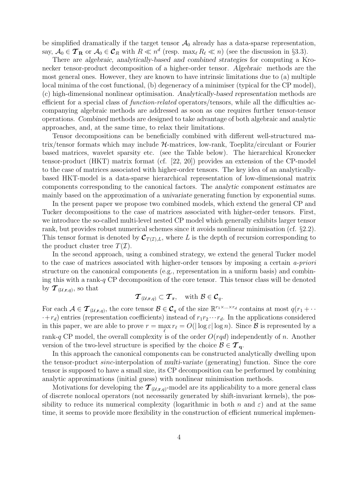be simplified dramatically if the target tensor  $\mathcal{A}_0$  already has a data-sparse representation, say,  $A_0 \in \mathcal{T}_{\mathbf{R}}$  or  $A_0 \in \mathcal{C}_R$  with  $R \ll n^d$  (resp. max<sub> $\ell$ </sub>  $R_{\ell} \ll n$ ) (see the discussion in §3.3).

There are *algebraic, analytically-based and combined strategies* for computing a Kronecker tensor-product decomposition of a higher-order tensor. *Algebraic* methods are the most general ones. However, they are known to have intrinsic limitations due to (a) multiple local minima of the cost functional, (b) degeneracy of a minimiser (typical for the CP model), (c) high-dimensional nonlinear optimisation. *Analytically-based representation* methods are efficient for a special class of function-related operators/tensors, while all the difficulties accompanying algebraic methods are addressed as soon as one requires further tensor-tensor operations. *Combined* methods are designed to take advantage of both algebraic and analytic approaches, and, at the same time, to relax their limitations.

Tensor decompositions can be beneficially combined with different well-structured matrix/tensor formats which may include H-matrices, low-rank, Toeplitz/circulant or Fourier based matrices, wavelet sparsity etc. (see the Table below). The hierarchical Kronecker tensor-product (HKT) matrix format (cf. [22, 20]) provides an extension of the CP-model to the case of matrices associated with higher-order tensors. The key idea of an analyticallybased HKT-model is a data-sparse hierarchical representation of low-dimensional matrix components corresponding to the canonical factors. The *analytic component estimates* are mainly based on the approximation of a *univariate* generating function by exponential sums.

In the present paper we propose two combined models, which extend the general CP and Tucker decompositions to the case of matrices associated with higher-order tensors. First, we introduce the so-called multi-level nested CP model which generally exhibits larger tensor rank, but provides robust numerical schemes since it avoids nonlinear minimisation (cf. §2.2). This tensor format is denoted by  $\mathcal{C}_{T(\mathcal{I}),L}$ , where L is the depth of recursion corresponding to the product cluster tree  $T(\mathcal{I})$ .

In the second approach, using a combined strategy, we extend the general Tucker model to the case of matrices associated with higher-order tensors by imposing a certain a-priori structure on the canonical components (e.g., representation in a uniform basis) and combining this with a rank- $q$  CP decomposition of the core tensor. This tensor class will be denoted by  $\mathcal{T}_{(\mathcal{U},\mathbf{r},q)}$ , so that

$$
\boldsymbol{\mathcal{T}}_{(\mathcal{U},\mathbf{r},q)}\subset \boldsymbol{\mathcal{T}}_{\mathbf{r}},\quad\text{with }\mathcal{B}\in\boldsymbol{\mathcal{C}}_q.
$$

For each  $A \in \mathcal{T}_{(\mathcal{U},\mathbf{r},q)}$ , the core tensor  $\mathcal{B} \in \mathcal{C}_q$  of the size  $\mathbb{R}^{r_1 \times \ldots \times r_d}$  contains at most  $q(r_1 + \cdots + r_d)$  $\cdot+r_d$ ) entries (representation coefficients) instead of  $r_1r_2\cdots r_d$ . In the applications considered in this paper, we are able to prove  $r = \max_{\ell} r_{\ell} = O(|\log \varepsilon| \log n)$ . Since  $\mathcal B$  is represented by a rank-q CP model, the overall complexity is of the order  $O(rqd)$  independently of n. Another version of the two-level structure is specified by the choice  $\mathcal{B} \in \mathcal{T}_{q}$ .

In this approach the canonical components can be constructed analytically dwelling upon the tensor-product sinc-interpolation of *multi-variate* (generating) function. Since the core tensor is supposed to have a small size, its CP decomposition can be performed by combining analytic approximations (initial guess) with nonlinear minimisation methods.

Motivations for developing the  $\mathcal{T}_{(\mathcal{U},\mathbf{r},q)}$ -model are its applicability to a more general class of discrete nonlocal operators (not necessarily generated by shift-invariant kernels), the possibility to reduce its numerical complexity (logarithmic in both n and  $\varepsilon$ ) and at the same time, it seems to provide more flexibility in the construction of efficient numerical implemen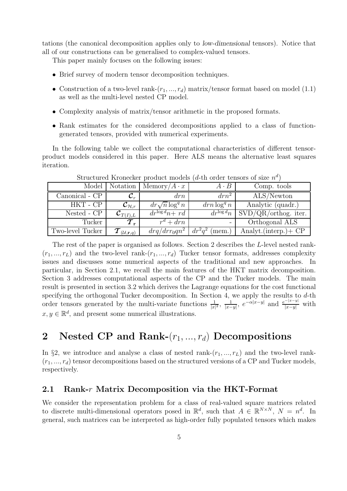tations (the canonical decomposition applies only to *low-dimensional* tensors). Notice that all of our constructions can be generalised to complex-valued tensors.

This paper mainly focuses on the following issues:

- Brief survey of modern tensor decomposition techniques.
- Construction of a two-level rank- $(r_1, ..., r_d)$  matrix/tensor format based on model (1.1) as well as the multi-level nested CP model.
- Complexity analysis of matrix/tensor arithmetic in the proposed formats.
- Rank estimates for the considered decompositions applied to a class of functiongenerated tensors, provided with numerical experiments.

In the following table we collect the computational characteristics of different tensorproduct models considered in this paper. Here ALS means the alternative least squares iteration.

|                  | Model   Notation                      | $Memory/A \cdot x$             | $A \cdot B$               | Comp. tools                    |
|------------------|---------------------------------------|--------------------------------|---------------------------|--------------------------------|
| Canonical - CP   | ${\cal C}_r$                          | drn                            | $drn^2$                   | $ALS/\overline{\text{Newton}}$ |
| HKT - CP         | ${\cal C}_{{\cal H},r}$               | $dr\sqrt{n}\log^q n$           | $drn \log^q n$            | Analytic (quadr.)              |
| Nested - CP      | ${\mathcal C}_{T(I),L}$               | $\overline{dr^{\log d}n + rd}$ | $\overline{dr^{\log d}}n$ | $SVD/QR/orthog.$ iter.         |
| Tucker           | $T_{\rm r}$                           | $r^d + drn$                    |                           | Orthogonal ALS                 |
| Two-level Tucker | $\bm{T}_{(\mathcal{U},\mathbf{r},q)}$ | $drq/drr_0qn^2$                | $dr^2q^2$<br>(mem.)       | Analyt. $(interp.) + CP$       |
|                  |                                       |                                |                           |                                |

Structured Kronecker product models (d-th order tensors of size  $n<sup>d</sup>$ )

The rest of the paper is organised as follows. Section 2 describes the L-level nested rank-  $(r_1, ..., r_L)$  and the two-level rank- $(r_1, ..., r_d)$  Tucker tensor formats, addresses complexity issues and discusses some numerical aspects of the traditional and new approaches. In particular, in Section 2.1, we recall the main features of the HKT matrix decomposition. Section 3 addresses computational aspects of the CP and the Tucker models. The main result is presented in section 3.2 which derives the Lagrange equations for the cost functional specifying the orthogonal Tucker decomposition. In Section 4, we apply the results to d-th order tensors generated by the multi-variate functions  $\frac{1}{|x|^2}$ ,  $\frac{1}{|x-y|}$ ,  $e^{-\alpha|x-y|}$  and  $\frac{e^{-|x-y|}}{|x-y|}$  with  $x, y \in \mathbb{R}^d$ , and present some numerical illustrations.

## 2 Nested CP and Rank- $(r_1, ..., r_d)$  Decompositions

In §2, we introduce and analyse a class of nested rank- $(r_1, ..., r_L)$  and the two-level rank- $(r_1, ..., r_d)$  tensor decompositions based on the structured versions of a CP and Tucker models, respectively.

#### **2.1 Rank-**r **Matrix Decomposition via the HKT-Format**

We consider the representation problem for a class of real-valued square matrices related to discrete multi-dimensional operators posed in  $\mathbb{R}^d$ , such that  $A \in \mathbb{R}^{N \times N}$ ,  $N = n^d$ . In general, such matrices can be interpreted as high-order fully populated tensors which makes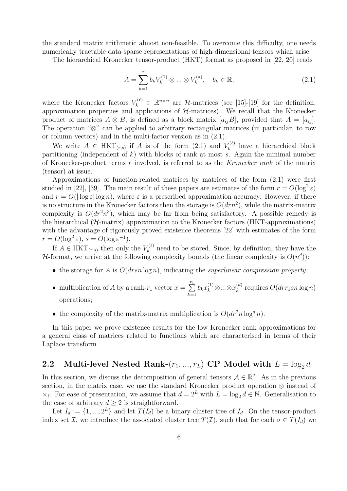the standard matrix arithmetic almost non-feasible. To overcome this difficulty, one needs numerically tractable data-sparse representations of high-dimensional tensors which arise.

The hierarchical Kronecker tensor-product (HKT) format as proposed in [22, 20] reads

$$
A = \sum_{k=1}^{r} b_k V_k^{(1)} \otimes \dots \otimes V_k^{(d)}, \quad b_k \in \mathbb{R},
$$
\n(2.1)

where the Kronecker factors  $V_k^{(\ell)} \in \mathbb{R}^{n \times n}$  are H-matrices (see [15]-[19] for the definition, approximation properties and applications of  $H$ -matrices). We recall that the Kronecker product of matrices  $A \otimes B$ , is defined as a block matrix  $[a_{ij}B]$ , provided that  $A = [a_{ij}]$ . The operation "⊗" can be applied to arbitrary rectangular matrices (in particular, to row or column vectors) and in the multi-factor version as in (2.1).

We write  $A \in \text{HKT}_{(r,s)}$  if A is of the form  $(2.1)$  and  $V_k^{(\ell)}$  have a hierarchical block<br>titioning (independent of b) with blocks of papk at most a Again the minimal number partitioning (independent of  $k$ ) with blocks of rank at most s. Again the minimal number of Kronecker-product terms r involved, is referred to as the Kronecker rank of the matrix (tensor) at issue.

Approximations of function-related matrices by matrices of the form (2.1) were first studied in [22], [39]. The main result of these papers are estimates of the form  $r = O(\log^2 \varepsilon)$ and  $r = O(|\log \varepsilon| \log n)$ , where  $\varepsilon$  is a prescribed approximation accuracy. However, if there is no structure in the Kronecker factors then the storage is  $O(drn^2)$ , while the matrix-matrix complexity is  $O(d r^2 n^3)$ , which may be far from being satisfactory. A possible remedy is the hierarchical (H-matrix) approximation to the Kronecker factors (HKT-approximations) with the advantage of rigorously proved existence theorems [22] with estimates of the form  $r = O(\log^2 \varepsilon), s = O(\log \varepsilon^{-1}).$ 

If  $A \in \text{HKT}_{(r,s)}$  then only the  $V_k^{(\ell)}$  need to be stored. Since, by definition, they have the *H*-format, we arrive at the following complexity bounds (the linear complexity is  $O(n^d)$ ):

- the storage for A is  $O(drsn \log n)$ , indicating the *superlinear compression property*;
- multiplication of A by a rank- $r_1$  vector  $x = \sum_{k=1}^{r_1}$  $k=1$  $b_k x_k^{(1)} \otimes ... \otimes x_k^{(d)}$  requires  $O(drr_1sn\log n)$ operations;
- the complexity of the matrix-matrix multiplication is  $O(dr^2n \log^q n)$ .

In this paper we prove existence results for the low Kronecker rank approximations for a general class of matrices related to functions which are characterised in terms of their Laplace transform.

## **2.2** Multi-level Nested Rank- $(r_1, ..., r_L)$  CP Model with  $L = \log_2 d$

In this section, we discuss the decomposition of general tensors  $A \in \mathbb{R}^{\mathcal{I}}$ . As in the previous section, in the matrix case, we use the standard Kronecker product operation ⊗ instead of  $\times_{\ell}$ . For ease of presentation, we assume that  $d = 2^L$  with  $L = \log_2 d \in \mathbb{N}$ . Generalisation to the case of arbitrary  $d > 2$  is straightforward.

Let  $I_d := \{1, ..., 2^L\}$  and let  $T(I_d)$  be a binary cluster tree of  $I_d$ . On the tensor-product index set I, we introduce the associated cluster tree  $T(\mathcal{I})$ , such that for each  $\sigma \in T(I_d)$  we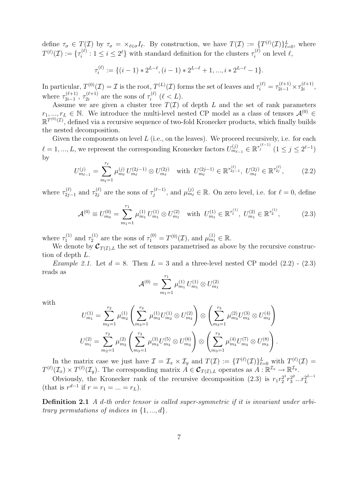define  $\tau_{\sigma} \in T(\mathcal{I})$  by  $\tau_{\sigma} = \times_{\ell \in \sigma} I_{\ell}$ . By construction, we have  $T(\mathcal{I}) := \{T^{(\ell)}(\mathcal{I})\}_{\ell=0}^L$ , where  $T^{(\ell)}(\mathcal{I})$ ,  $\tau_{\sigma} = \{T^{(\ell)}(\mathcal{I})\}_{\ell=0}^L$ , where  $T^{(\ell)}(\mathcal{I}) := \{ \tau_i^{(\ell)} : 1 \leq i \leq 2^{\ell} \}$  with standard definition for the clusters  $\tau_i^{(\ell)}$  on level  $\ell$ ,

$$
\tau_i^{(\ell)} := \{ (i-1) * 2^{L-\ell}, (i-1) * 2^{L-\ell} + 1, ..., i * 2^{L-\ell} - 1 \}.
$$

In particular,  $T^{(0)}(\mathcal{I}) = \mathcal{I}$  is the root,  $T^{(L)}(\mathcal{I})$  forms the set of leaves and  $\tau_i^{(\ell)} = \tau_{2i-1}^{(\ell+1)} \times \tau_{2i}^{(\ell+1)}$ , where  $\tau_{2i-1}^{(\ell+1)}$ ,  $\tau_{2i}^{(\ell+1)}$  are the sons of  $\tau_i^{(\ell)}$  ( $\ell < L$ ).<br>Assume we are given a cluster tree  $T(\mathcal{T})$ .

Assume we are given a cluster tree  $T(\mathcal{I})$  of depth L and the set of rank parameters  $r_1, ..., r_L \in \mathbb{N}$ . We introduce the multi-level nested CP model as a class of tensors  $\mathcal{A}^{(0)}$  $\mathbb{R}^{T^{(0)}(\mathcal{I})}$ , defined via a recursive sequence of two-fold Kronecker products, which finally builds the nested decomposition.

Given the components on level  $L$  (i.e., on the leaves). We proceed recursively, i.e. for each  $\ell = 1, ..., L$ , we represent the corresponding Kronecker factors  $U_{m_{\ell-1}}^{(j)} \in \mathbb{R}^{\tau_j^{(\ell-1)}}$   $(1 \leq j \leq 2^{\ell-1})$ by

$$
U_{m_{\ell-1}}^{(j)} = \sum_{m_{\ell}=1}^{r_{\ell}} \mu_{m_{\ell}}^{(j)} U_{m_{\ell}}^{(2j-1)} \otimes U_{m_{\ell}}^{(2j)} \quad \text{with} \ \ U_{m_{\ell}}^{(2j-1)} \in \mathbb{R}^{\tau_{2j-1}^{(\ell)}}, \ U_{m_{\ell}}^{(2j)} \in \mathbb{R}^{\tau_{2j}^{(\ell)}},\tag{2.2}
$$

where  $\tau_{2j-1}^{(\ell)}$  and  $\tau_{2j}^{(\ell)}$  are the sons of  $\tau_j^{(\ell-1)}$ , and  $\mu_{m_\ell}^{(j)} \in \mathbb{R}$ . On zero level, i.e. for  $\ell = 0$ , define

$$
\mathcal{A}^{(0)} \equiv U_{m_0}^{(0)} = \sum_{m_1=1}^{r_1} \mu_{m_1}^{(1)} U_{m_1}^{(1)} \otimes U_{m_1}^{(2)} \quad \text{with} \ \ U_{m_1}^{(1)} \in \mathbb{R}^{\tau_1^{(1)}}, \ U_{m_1}^{(2)} \in \mathbb{R}^{\tau_2^{(1)}}, \tag{2.3}
$$

where  $\tau_1^{(1)}$  and  $\tau_2^{(1)}$  are the sons of  $\tau_1^{(0)} = T^{(0)}(\mathcal{I})$ , and  $\mu_{m_1}^{(1)} \in \mathbb{R}$ .<br>We denote by  $\mathcal{C}_{\text{min}}$  the set of tensors parametrised as above

We denote by  $\mathcal{C}_{T(\mathcal{I}),L}$  the set of tensors parametrised as above by the recursive construction of depth L.

*Example 2.1.* Let  $d = 8$ . Then  $L = 3$  and a three-level nested CP model  $(2.2)$  -  $(2.3)$ reads as

$$
\mathcal{A}^{(0)} = \sum_{m_1=1}^{r_1} \mu_{m_1}^{(1)} U_{m_1}^{(1)} \otimes U_{m_1}^{(2)}
$$

with

$$
U_{m_1}^{(1)} = \sum_{m_2=1}^{r_2} \mu_{m_2}^{(1)} \left( \sum_{m_3=1}^{r_3} \mu_{m_3}^{(1)} U_{m_3}^{(1)} \otimes U_{m_3}^{(2)} \right) \otimes \left( \sum_{m_3=1}^{r_3} \mu_{m_3}^{(2)} U_{m_3}^{(3)} \otimes U_{m_3}^{(4)} \right)
$$
  

$$
U_{m_1}^{(2)} = \sum_{m_2=1}^{r_2} \mu_{m_2}^{(2)} \left( \sum_{m_3=1}^{r_3} \mu_{m_3}^{(3)} U_{m_3}^{(5)} \otimes U_{m_3}^{(6)} \right) \otimes \left( \sum_{m_3=1}^{r_3} \mu_{m_3}^{(4)} U_{m_3}^{(7)} \otimes U_{m_3}^{(8)} \right).
$$

In the matrix case we just have  $\mathcal{I} = \mathcal{I}_x \times \mathcal{I}_y$  and  $T(\mathcal{I}) := \{T^{(\ell)}(\mathcal{I})\}_{\ell=0}^L$  with  $T^{(\ell)}(\mathcal{I}) =$ <br> $(T \times T^{(\ell)}(\mathcal{I})$ . The corresponding matrix  $A \in \mathcal{C}_{\text{min}}$  operator as  $A \cdot \mathbb{P}^{\mathcal{I}_x}$ .  $T^{(\ell)}(\mathcal{I}_x) \times T^{(\ell)}(\mathcal{I}_y)$ . The corresponding matrix  $A \in \mathcal{C}_{T(\mathcal{I}),L}$  operates as  $A : \mathbb{R}^{\mathcal{I}_x} \to \mathbb{R}^{\mathcal{I}_y}$ .

Obviously, the Kronecker rank of the recursive decomposition (2.3) is  $r_1 r_2^{2^1} r_3^{2^2} ... r_L^{2^{L-1}}$ (that is  $r^{d-1}$  if  $r = r_1 = ... = r_L$ ).

**Definition 2.1** A d-th order tensor is called super-symmetric if it is invariant under arbitrary permutations of indices in  $\{1, ..., d\}$ .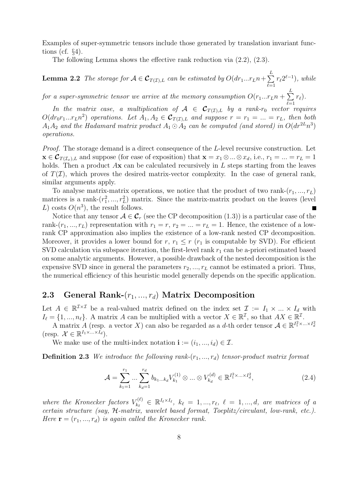Examples of super-symmetric tensors include those generated by translation invariant functions (cf. §4).

The following Lemma shows the effective rank reduction via (2.2), (2.3).

**Lemma 2.2** The storage for  $A \in \mathcal{C}_{T(\mathcal{I}),L}$  can be estimated by  $O(dr_1...r_Ln + \sum_{\ell=1}^{\infty}$ L  $\ell=1$  $r_{\ell}2^{\ell-1}), \text{ while}$ 

for a super-symmetric tensor we arrive at the memory consumption  $O(r_1...r_L n+\sum_{\ell=1}^L n_\ell n_\ell)$  $r_{\ell}).$ 

 $_{r}^{\ell=1}$ In the matrix case, a multiplication of  $A \in C_{T(\mathcal{I}),L}$  by a rank-r<sub>0</sub> vector requires  $O(dr_0r_1...r_Ln^2)$  operations. Let  $A_1, A_2 \in \mathcal{C}_{T(\mathcal{I}),L}$  and suppose  $r = r_1 = ... = r_L$ , then both  $A_1A_2$  and the Hadamard matrix product  $A_1 \odot A_2$  can be computed (and stored) in  $O(dr^{2L}n^3)$ operations.

Proof. The storage demand is a direct consequence of the L-level recursive construction. Let  $\mathbf{x} \in \mathcal{C}_{T(\mathcal{I}_x),L}$  and suppose (for ease of exposition) that  $\mathbf{x} = x_1 \otimes ... \otimes x_d$ , i.e.,  $r_1 = ... = r_L = 1$ holds. Then a product Ax can be calculated recursively in L steps starting from the leaves of  $T(\mathcal{I})$ , which proves the desired matrix-vector complexity. In the case of general rank, similar arguments apply.

To analyse matrix-matrix operations, we notice that the product of two rank- $(r_1, ..., r_L)$ matrices is a rank- $(r_1^2, ..., r_L^2)$  matrix. Since the matrix-matrix product on the leaves (level  $I$ ) costs  $O(n^3)$  the result follows L) costs  $O(n^3)$ , the result follows.

Notice that any tensor  $A \in \mathcal{C}_r$  (see the CP decomposition (1.3)) is a particular case of the rank- $(r_1, ..., r_L)$  representation with  $r_1 = r, r_2 = ... = r_L = 1$ . Hence, the existence of a lowrank CP approximation also implies the existence of a low-rank nested CP decomposition. Moreover, it provides a lower bound for  $r, r_1 \le r$  ( $r_1$  is computable by SVD). For efficient SVD calculation via subspace iteration, the first-level rank  $r_1$  can be a-priori estimated based on some analytic arguments. However, a possible drawback of the nested decomposition is the expensive SVD since in general the parameters  $r_2, ..., r_L$  cannot be estimated a priori. Thus, the numerical efficiency of this heuristic model generally depends on the specific application.

## **2.3 General Rank-**(r1, ..., r*d*) **Matrix Decomposition**

Let  $A \in \mathbb{R}^{\mathcal{I} \times \mathcal{I}}$  be a real-valued matrix defined on the index set  $\mathcal{I} := I_1 \times ... \times I_d$  with  $I_{\ell} = \{1, ..., n_{\ell}\}.$  A matrix A can be multiplied with a vector  $X \in \mathbb{R}^{\mathcal{I}}$ , so that  $AX \in \mathbb{R}^{\mathcal{I}}$ .

A matrix A (resp. a vector X) can also be regarded as a d-th order tensor  $A \in \mathbb{R}^{I_1^2 \times ... \times I_d^2}$ (resp.  $\mathcal{X} \in \mathbb{R}^{I_1 \times \ldots \times I_d}$ ).

We make use of the multi-index notation  $\mathbf{i} := (i_1, ..., i_d) \in \mathcal{I}$ .

**Definition 2.3** We introduce the following rank- $(r_1, ..., r_d)$  tensor-product matrix format

$$
\mathcal{A} = \sum_{k_1=1}^{r_1} \dots \sum_{k_d=1}^{r_d} b_{k_1 \dots k_d} V_{k_1}^{(1)} \otimes \dots \otimes V_{k_d}^{(d)} \in \mathbb{R}^{I_1^2 \times \dots \times I_d^2},
$$
\n(2.4)

where the Kronecker factors  $V_{k_\ell}^{(\ell)} \in \mathbb{R}^{I_\ell \times I_\ell}$ ,  $k_\ell = 1, ..., r_\ell$ ,  $\ell = 1, ..., d$ , are matrices of a certain structure (say, H-matrix, wavelet based format, Toeplitz/circulant, low-rank, etc.). Here  $\mathbf{r} = (r_1, ..., r_d)$  is again called the Kronecker rank.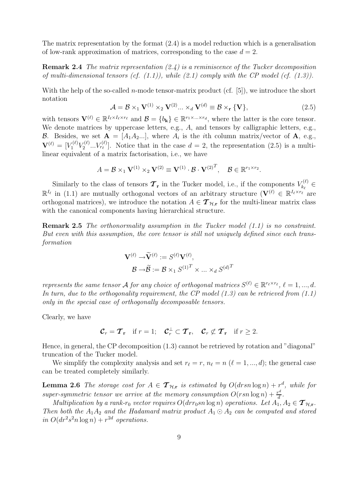The matrix representation by the format (2.4) is a model reduction which is a generalisation of low-rank approximation of matrices, corresponding to the case  $d = 2$ .

**Remark 2.4** The matrix representation (2.4) is a reminiscence of the Tucker decomposition of multi-dimensional tensors (cf.  $(1.1)$ ), while  $(2.1)$  comply with the CP model (cf.  $(1.3)$ ).

With the help of the so-called *n*-mode tensor-matrix product (cf.  $[5]$ ), we introduce the short notation

$$
\mathcal{A} = \mathcal{B} \times_1 \mathbf{V}^{(1)} \times_2 \mathbf{V}^{(2)} \dots \times_d \mathbf{V}^{(d)} \equiv \mathcal{B} \times_{\mathbf{r}} \{ \mathbf{V} \},
$$
\n(2.5)

with tensors  $\mathbf{V}^{(\ell)} \in \mathbb{R}^{I_{\ell} \times I_{\ell} \times r_{\ell}}$  and  $\mathcal{B} = \{b_{k}\} \in \mathbb{R}^{r_{1} \times ... \times r_{d}}$ , where the latter is the core tensor. We denote matrices by uppercase letters, e.g., A, and tensors by calligraphic letters, e.g., B. Besides, we set  $A = [A_1 A_2 ...]$ , where  $A_i$  is the *i*th column matrix/vector of A, e.g.,  $\mathbf{V}^{(\ell)} = [V_1^{(\ell)} V_2^{(\ell)} \dots V_{r_\ell}^{(\ell)}]$ . Notice that in the case  $d = 2$ , the representation (2.5) is a multilinear equivalent of a matrix factorisation, i.e., we have

$$
A = \mathcal{B} \times_1 \mathbf{V}^{(1)} \times_2 \mathbf{V}^{(2)} \equiv \mathbf{V}^{(1)} \cdot \mathcal{B} \cdot \mathbf{V}^{(2)^T}, \quad \mathcal{B} \in \mathbb{R}^{r_1 \times r_2}.
$$

Similarly to the class of tensors  $\mathcal{T}_{\mathbf{r}}$  in the Tucker model, i.e., if the components  $V_{k_\ell}^{(\ell)} \in$  $\mathbb{R}^{I_{\ell}}$  in (1.1) are mutually orthogonal vectors of an arbitrary structure  $(\mathbf{V}^{(\ell)} \in \mathbb{R}^{I_{\ell} \times r_{\ell}})$  are orthogonal matrices), we introduce the notation  $A \in \mathcal{T}_{\mathcal{H},\mathbf{r}}$  for the multi-linear matrix class with the canonical components having hierarchical structure.

**Remark 2.5** The orthonormality assumption in the Tucker model (1.1) is no constraint. But even with this assumption, the core tensor is still not uniquely defined since each transformation

$$
\mathbf{V}^{(\ell)} \rightarrow \widetilde{\mathbf{V}}^{(\ell)} := S^{(\ell)} \mathbf{V}^{(\ell)},
$$

$$
\mathcal{B} \rightarrow \widetilde{\mathcal{B}} := \mathcal{B} \times_1 S^{(1)^T} \times \dots \times_d S^{(d)^T}
$$

represents the same tensor A for any choice of orthogonal matrices  $S^{(\ell)} \in \mathbb{R}^{r_{\ell} \times r_{\ell}}, \ell = 1, ..., d$ . In turn, due to the orthogonality requirement, the CP model  $(1.3)$  can be retrieved from  $(1.1)$ only in the special case of orthogonally decomposable tensors.

Clearly, we have

$$
\mathcal{C}_r = \mathcal{T}_{\mathbf{r}} \quad \text{if } r = 1; \quad \mathcal{C}_r^{\perp} \subset \mathcal{T}_{\mathbf{r}}, \quad \mathcal{C}_r \not\subset \mathcal{T}_{\mathbf{r}} \quad \text{if } r \geq 2.
$$

Hence, in general, the CP decomposition (1.3) cannot be retrieved by rotation and "diagonal" truncation of the Tucker model.

We simplify the complexity analysis and set  $r_{\ell} = r$ ,  $n_{\ell} = n$  ( $\ell = 1, ..., d$ ); the general case can be treated completely similarly.

**Lemma 2.6** The storage cost for  $A \in \mathcal{T}_{\mathcal{H},\mathbf{r}}$  is estimated by  $O(drsn\log n) + r^d$ , while for super-symmetric tensor we arrive at the memory consumption  $O(rsn \log n) + \frac{r^d}{d}$ .

Multiplication by a rank-r<sub>0</sub> vector requires  $O(drr_0sn \log n)$  operations. Let  $A_1, A_2 \in \mathcal{T}_{\mathcal{H},\mathbf{r}}$ . Then both the  $A_1A_2$  and the Hadamard matrix product  $A_1 \odot A_2$  can be computed and stored in  $O(dr^2s^2n \log n) + r^{2d}$  operations.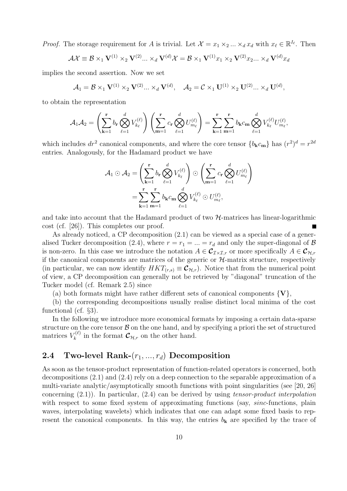*Proof.* The storage requirement for A is trivial. Let  $\mathcal{X} = x_1 \times_2 ... \times_d x_d$  with  $x_\ell \in \mathbb{R}^{I_\ell}$ . Then

$$
\mathcal{A}\mathcal{X} \equiv \mathcal{B} \times_1 \mathbf{V}^{(1)} \times_2 \mathbf{V}^{(2)} \dots \times_d \mathbf{V}^{(d)}\mathcal{X} = \mathcal{B} \times_1 \mathbf{V}^{(1)}x_1 \times_2 \mathbf{V}^{(2)}x_2 \dots \times_d \mathbf{V}^{(d)}x_d
$$

implies the second assertion. Now we set

$$
A_1 = \mathcal{B} \times_1 \mathbf{V}^{(1)} \times_2 \mathbf{V}^{(2)} \dots \times_d \mathbf{V}^{(d)}, \quad A_2 = \mathcal{C} \times_1 \mathbf{U}^{(1)} \times_2 \mathbf{U}^{(2)} \dots \times_d \mathbf{U}^{(d)},
$$

to obtain the representation

$$
\mathcal{A}_1\mathcal{A}_2 = \left(\sum_{\mathbf{k}=1}^{\mathbf{r}} b_{\mathbf{r}} \bigotimes_{\ell=1}^d V_{k_{\ell}}^{(\ell)}\right) \left(\sum_{\mathbf{m}=1}^{\mathbf{r}} c_{\mathbf{r}} \bigotimes_{\ell=1}^d U_{m_{\ell}}^{(\ell)}\right) = \sum_{\mathbf{k}=1}^{\mathbf{r}} \sum_{\mathbf{m}=1}^{\mathbf{r}} b_{\mathbf{k}} c_{\mathbf{m}} \bigotimes_{\ell=1}^d V_{k_{\ell}}^{(\ell)} U_{m_{\ell}}^{(\ell)},
$$

which includes  $dr^2$  canonical components, and where the core tensor  ${b_kc_m}$  has  $(r^2)^d = r^{2d}$ entries. Analogously, for the Hadamard product we have

$$
\mathcal{A}_1 \odot \mathcal{A}_2 = \left(\sum_{k=1}^{\mathbf{r}} b_{\mathbf{r}} \bigotimes_{\ell=1}^d V_{k_{\ell}}^{(\ell)}\right) \odot \left(\sum_{\mathbf{m}=1}^{\mathbf{r}} c_{\mathbf{r}} \bigotimes_{\ell=1}^d U_{m_{\ell}}^{(\ell)}\right)
$$

$$
= \sum_{k=1}^{\mathbf{r}} \sum_{\mathbf{m}=1}^{\mathbf{r}} b_{\mathbf{k}} c_{\mathbf{m}} \bigotimes_{\ell=1}^d V_{k_{\ell}}^{(\ell)} \odot U_{m_{\ell}}^{(\ell)},
$$

and take into account that the Hadamard product of two  $H$ -matrices has linear-logarithmic cost (cf. [26]). This completes our proof.

As already noticed, a CP decomposition (2.1) can be viewed as a special case of a generalised Tucker decomposition (2.4), where  $r = r_1 = ... = r_d$  and only the super-diagonal of  $\beta$ is non-zero. In this case we introduce the notation  $A \in \mathcal{C}_{I \times I,r}$  or more specifically  $A \in \mathcal{C}_{\mathcal{H},r}$ if the canonical components are matrices of the generic or  $H$ -matrix structure, respectively (in particular, we can now identify  $HKT_{(r,s)} \equiv \mathcal{C}_{\mathcal{H},r}$ ). Notice that from the numerical point of view, a CP decomposition can generally not be retrieved by "diagonal" truncation of the Tucker model (cf. Remark 2.5) since

(a) both formats might have rather different sets of canonical components  $\{V\}$ ,

(b) the corresponding decompositions usually realise distinct local minima of the cost functional (cf. §3).

In the following we introduce more economical formats by imposing a certain data-sparse structure on the core tensor  $\beta$  on the one hand, and by specifying a priori the set of structured matrices  $V_k^{(\ell)}$  in the format  $\mathcal{C}_{\mathcal{H},r}$  on the other hand.

### **2.4 Two-level Rank-**(r1, ..., r*d*) **Decomposition**

As soon as the tensor-product representation of function-related operators is concerned, both decompositions (2.1) and (2.4) rely on a deep connection to the separable approximation of a multi-variate analytic/asymptotically smooth functions with point singularities (see [20, 26] concerning  $(2.1)$ . In particular,  $(2.4)$  can be derived by using tensor-product interpolation with respect to some fixed system of approximating functions (say, *sinc*-functions, plain waves, interpolating wavelets) which indicates that one can adapt some fixed basis to represent the canonical components. In this way, the entries  $b_{\mathbf{k}}$  are specified by the trace of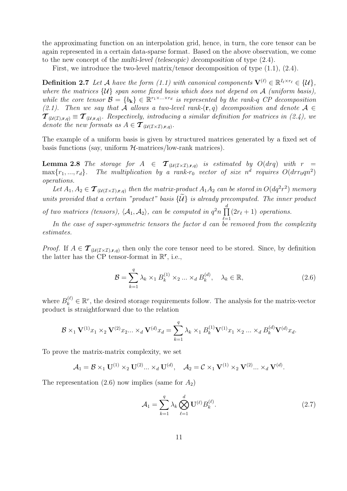the approximating function on an interpolation grid, hence, in turn, the core tensor can be again represented in a certain data-sparse format. Based on the above observation, we come to the new concept of the *multi-level (telescopic) decomposition* of type (2.4).

First, we introduce the two-level matrix/tensor decomposition of type  $(1.1)$ ,  $(2.4)$ .

**Definition 2.7** Let A have the form (1.1) with canonical components  $\mathbf{V}^{(\ell)} \in \mathbb{R}^{I_{\ell} \times r_{\ell}} \in \{\mathcal{U}\},\$ where the matrices  $\{U\}$  span some fixed basis which does not depend on A (uniform basis), while the core tensor  $\mathcal{B} = \{b_k\} \in \mathbb{R}^{r_1 \times \ldots \times r_d}$  is represented by the rank-q CP decomposition (2.1). Then we say that A allows a two-level rank- $(\mathbf{r}, q)$  decomposition and denote  $\mathcal{A} \in$  $\mathcal{T}_{(\mathcal{U}(\mathcal{I}),\mathbf{r},q)} \equiv \mathcal{T}_{(\mathcal{U},\mathbf{r},q)}$ . Respectively, introducing a similar definition for matrices in (2.4), we denote the new formats as  $A \in \mathcal{T}_{(\mathcal{U}(\mathcal{I} \times \mathcal{I}),\mathbf{r},q)}$ .

The example of a uniform basis is given by structured matrices generated by a fixed set of basis functions (say, uniform  $H$ -matrices/low-rank matrices).

**Lemma 2.8** The storage for  $A \in \mathcal{T}_{(\mathcal{U}(\mathcal{I}\times\mathcal{I}),\mathbf{r},q)}$  is estimated by  $O(d\mathbf{r}q)$  with  $r =$ <br>morths and The multiplication by a rank n yester of sixe  $p^d$  requires  $O(d\mathbf{r}q, q^2)$  $\max\{r_1, ..., r_d\}$ . The multiplication by a rank-r<sub>0</sub> vector of size  $n^d$  requires  $O(drr_0qn^2)$ operations.

Let  $A_1, A_2 \in \mathcal{T}_{(\mathcal{U}(\mathcal{I} \times \mathcal{I}), \mathbf{r}, q)}$  then the matrix-product  $A_1 A_2$  can be stored in  $O(dq^2r^2)$  memory units provided that a certain "product" basis  $\{\mathcal{U}\}\$ is already precomputed. The inner product

of two matrices (tensors),  $\langle A_1, A_2 \rangle$ , can be computed in  $q^2 n \prod_{\ell=1}^d$  $(2r_{\ell}+1)$  operations.

In the case of super-symmetric tensors the factor  $d$  can be removed from the complexity estimates.

*Proof.* If  $A \in \mathcal{T}_{(\mathcal{U}(\mathcal{I}\times\mathcal{I}),\mathbf{r},q)}$  then only the core tensor need to be stored. Since, by definition the latter has the CP tensor-format in R**<sup>r</sup>**, i.e.,

$$
\mathcal{B} = \sum_{k=1}^{q} \lambda_k \times_1 B_k^{(1)} \times_2 \dots \times_d B_k^{(d)}, \quad \lambda_k \in \mathbb{R},
$$
\n(2.6)

where  $B_k^{(\ell)} \in \mathbb{R}^r$ , the desired storage requirements follow. The analysis for the matrix-vector product is straightforward due to the relation

$$
\mathcal{B} \times_1 \mathbf{V}^{(1)} x_1 \times_2 \mathbf{V}^{(2)} x_2 \dots \times_d \mathbf{V}^{(d)} x_d = \sum_{k=1}^q \lambda_k \times_1 B_k^{(1)} \mathbf{V}^{(1)} x_1 \times_2 \dots \times_d B_k^{(d)} \mathbf{V}^{(d)} x_d.
$$

To prove the matrix-matrix complexity, we set

$$
A_1 = \mathcal{B} \times_1 \mathbf{U}^{(1)} \times_2 \mathbf{U}^{(2)} \dots \times_d \mathbf{U}^{(d)}, \quad A_2 = \mathcal{C} \times_1 \mathbf{V}^{(1)} \times_2 \mathbf{V}^{(2)} \dots \times_d \mathbf{V}^{(d)}.
$$

The representation  $(2.6)$  now implies (same for  $A_2$ )

$$
\mathcal{A}_1 = \sum_{k=1}^q \lambda_k \bigotimes_{\ell=1}^d \mathbf{U}^{(\ell)} B_k^{(\ell)}.
$$
\n(2.7)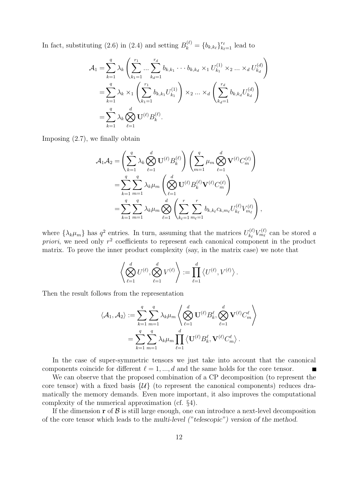In fact, substituting (2.6) in (2.4) and setting  $B_k^{(\ell)} = \{b_{k,k_\ell}\}_{k_\ell=1}^{r_\ell}$  lead to

$$
\mathcal{A}_1 = \sum_{k=1}^q \lambda_k \left( \sum_{k_1=1}^{r_1} \dots \sum_{k_d=1}^{r_d} b_{k,k_1} \dots b_{k,k_d} \times_1 U_{k_1}^{(1)} \times_2 \dots \times_d U_{k_d}^{(d)} \right)
$$
  
= 
$$
\sum_{k=1}^q \lambda_k \times_1 \left( \sum_{k_1=1}^{r_1} b_{k,k_1} U_{k_1}^{(1)} \right) \times_2 \dots \times_d \left( \sum_{k_d=1}^{r_d} b_{k,k_d} U_{k_d}^{(d)} \right)
$$
  
= 
$$
\sum_{k=1}^q \lambda_k \bigotimes_{\ell=1}^d \mathbf{U}^{(\ell)} B_{k}^{(\ell)}.
$$

Imposing (2.7), we finally obtain

$$
\begin{split} \mathcal{A}_{1}\mathcal{A}_{2} & =\left(\sum_{k=1}^{q}\lambda_{k}\bigotimes_{\ell=1}^{d}\mathbf{U}^{(\ell)}B^{(\ell)}_{k}\right)\left(\sum_{m=1}^{q}\mu_{m}\bigotimes_{\ell=1}^{d}\mathbf{V}^{(\ell)}C^{(\ell)}_{m}\right) \\ & =\sum_{k=1}^{q}\sum_{m=1}^{q}\lambda_{k}\mu_{m}\left(\bigotimes_{\ell=1}^{d}\mathbf{U}^{(\ell)}B^{(\ell)}_{k}\mathbf{V}^{(\ell)}C^{(\ell)}_{m}\right) \\ & =\sum_{k=1}^{q}\sum_{m=1}^{q}\lambda_{k}\mu_{m}\bigotimes_{\ell=1}^{d}\left(\sum_{k_{\ell}=1}^{r}\sum_{m_{\ell}=1}^{r}b_{k,k_{\ell}}c_{k,m_{\ell}}U^{(\ell)}_{k_{\ell}}V^{(\ell)}_{m_{\ell}}\right), \end{split}
$$

where  $\{\lambda_k \mu_m\}$  has  $q^2$  entries. In turn, assuming that the matrices  $U_{k_\ell}^{(\ell)} V_{m_\ell}^{(\ell)}$  can be stored a *priori*, we need only  $r^2$  coefficients to represent each canonical component in the product matrix. To prove the inner product complexity (say, in the matrix case) we note that

$$
\left\langle \bigotimes_{\ell=1}^d U^{(\ell)}, \bigotimes_{\ell=1}^d V^{(\ell)} \right\rangle := \prod_{\ell=1}^d \left\langle U^{(\ell)}, V^{(\ell)} \right\rangle.
$$

Then the result follows from the representation

$$
\langle A_1, A_2 \rangle := \sum_{k=1}^q \sum_{m=1}^q \lambda_k \mu_m \left\langle \bigotimes_{\ell=1}^d \mathbf{U}^{(\ell)} B_k^{\ell}, \bigotimes_{\ell=1}^d \mathbf{V}^{(\ell)} C_m^{\ell} \right\rangle
$$
  
= 
$$
\sum_{k=1}^q \sum_{m=1}^q \lambda_k \mu_m \prod_{\ell=1}^d \left\langle \mathbf{U}^{(\ell)} B_k^{\ell}, \mathbf{V}^{(\ell)} C_m^{\ell} \right\rangle.
$$

In the case of super-symmetric tensors we just take into account that the canonical components coincide for different  $\ell = 1, ..., d$  and the same holds for the core tensor. Г

We can observe that the proposed combination of a CP decomposition (to represent the core tensor) with a fixed basis  $\{U\}$  (to represent the canonical components) reduces dramatically the memory demands. Even more important, it also improves the computational complexity of the numerical approximation (cf. §4).

If the dimension  $\mathbf r$  of  $\mathcal B$  is still large enough, one can introduce a next-level decomposition of the core tensor which leads to the *multi-level ("telescopic") version of the method*.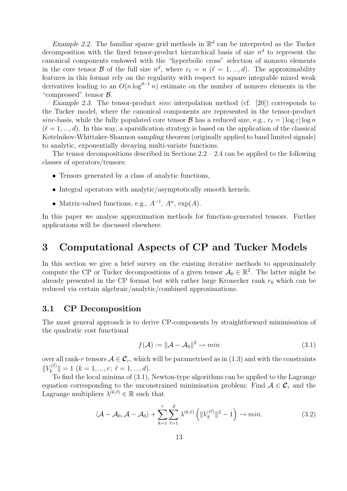*Example 2.2.* The familiar sparse grid methods in  $\mathbb{R}^d$  can be interpreted as the Tucker decomposition with the fixed tensor-product hierarchical basis of size  $n^d$  to represent the canonical components endowed with the "hyperbolic cross" selection of nonzero elements in the core tensor B of the full size  $n^d$ , where  $r_\ell = n$  ( $\ell = 1, ..., d$ ). The approximability features in this format rely on the regularity with respect to square integrable mixed weak derivatives leading to an  $O(n \log^{d-1} n)$  estimate on the number of nonzero elements in the "compressed" tensor  $\beta$ .

*Example 2.3.* The tensor-product *sinc* interpolation method (cf. [20]) corresponds to the Tucker model, where the canonical components are represented in the tensor-product sinc-basis, while the fully populated core tensor  $\mathcal B$  has a reduced size, e.g.,  $r_\ell = |\log \varepsilon| \log n$  $(\ell = 1, ..., d)$ . In this way, a sparsification strategy is based on the application of the classical Kotelnikov-Whittaker-Shannon *sampling theorem* (originally applied to band limited signals) to analytic, exponentially decaying multi-variate functions.

The tensor decompositions described in Sections  $2.2 - 2.4$  can be applied to the following classes of operators/tensors:

- Tensors generated by a class of analytic functions,
- Integral operators with analytic/asymptotically smooth kernels,
- Matrix-valued functions, e.g.,  $A^{-1}$ ,  $A^{\alpha}$ ,  $\exp(A)$ .

In this paper we analyse approximation methods for function-generated tensors. Further applications will be discussed elsewhere.

## **3 Computational Aspects of CP and Tucker Models**

In this section we give a brief survey on the existing iterative methods to approximately compute the CP or Tucker decompositions of a given tensor  $A_0 \in \mathbb{R}^{\mathcal{I}}$ . The latter might be already presented in the CP format but with rather large Kronecker rank  $r_0$  which can be reduced via certain algebraic/analytic/combined approximations.

#### **3.1 CP Decomposition**

The most general approach is to derive CP-components by straightforward minimisation of the quadratic cost functional

$$
f(\mathcal{A}) := \|\mathcal{A} - \mathcal{A}_0\|^2 \to \min
$$
\n(3.1)

over all rank-r tensors  $A \in \mathcal{C}_r$ , which will be parametrised as in (1.3) and with the constraints  $||V_k^{(\ell)}|| = 1$   $(k = 1, ..., r; \ell = 1, ..., d).$ 

To find the local minima of (3.1), Newton-type algorithms can be applied to the Lagrange equation corresponding to the unconstrained minimisation problem: Find  $A \in \mathcal{C}_r$  and the Lagrange multipliers  $\lambda^{(k,\ell)} \in \mathbb{R}$  such that

$$
\langle \mathcal{A} - \mathcal{A}_0, \mathcal{A} - \mathcal{A}_0 \rangle + \sum_{k=1}^r \sum_{\ell=1}^d \lambda^{(k,\ell)} \left( \|V_k^{(\ell)}\|^2 - 1 \right) \to \min. \tag{3.2}
$$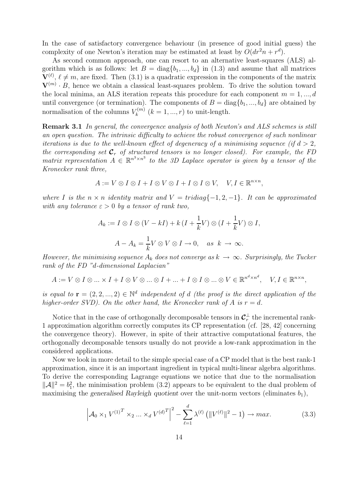In the case of satisfactory convergence behaviour (in presence of good initial guess) the complexity of one Newton's iteration may be estimated at least by  $O(dr^2n + r^d)$ .

As second common approach, one can resort to an alternative least-squares (ALS) algorithm which is as follows: let  $B = diag{b_1, ..., b_d}$  in (1.3) and assume that all matrices  $\mathbf{V}^{(\ell)}$ ,  $\ell \neq m$ , are fixed. Then (3.1) is a quadratic expression in the components of the matrix  $\mathbf{V}^{(m)} \cdot B$ , hence we obtain a classical least-squares problem. To drive the solution toward the local minima, an ALS iteration repeats this procedure for each component  $m = 1, ..., d$ until convergence (or termination). The components of  $B = \text{diag}\{b_1, ..., b_d\}$  are obtained by normalisation of the columns  $V_k^{(m)}$   $(k = 1, ..., r)$  to unit-length.

**Remark 3.1** In general, the convergence analysis of both Newton's and ALS schemes is still an open question. The intrinsic difficulty to achieve the robust convergence of such nonlinear iterations is due to the well-known effect of degeneracy of a minimising sequence (if  $d > 2$ , the corresponding set  $\mathcal{C}_r$  of structured tensors is no longer closed). For example, the FD matrix representation  $A \in \mathbb{R}^{n^3 \times n^3}$  to the 3D Laplace operator is given by a tensor of the Kronecker rank three,

$$
A := V \otimes I \otimes I + I \otimes V \otimes I + I \otimes I \otimes V, \quad V, I \in \mathbb{R}^{n \times n},
$$

where I is the  $n \times n$  identity matrix and  $V = tridiag\{-1, 2, -1\}$ . It can be approximated with any tolerance  $\varepsilon > 0$  by a tensor of rank two,

$$
A_k := I \otimes I \otimes (V - kI) + k(I + \frac{1}{k}V) \otimes (I + \frac{1}{k}V) \otimes I,
$$
  

$$
A - A_k = \frac{1}{k}V \otimes V \otimes I \to 0, \quad \text{as } k \to \infty.
$$

However, the minimising sequence  $A_k$  does not converge as  $k \to \infty$ . Surprisingly, the Tucker rank of the FD "d-dimensional Laplacian"

$$
A:=V\otimes I\otimes \ldots \times I+I\otimes V\otimes \ldots \otimes I+\ldots +I\otimes I\otimes \ldots \otimes V\in \mathbb{R}^{n^d\times n^d},\quad V,I\in \mathbb{R}^{n\times n},
$$

is equal to  $\mathbf{r} = (2, 2, ..., 2) \in \mathbb{N}^d$  independent of d (the proof is the direct application of the higher-order SVD). On the other hand, the Kronecker rank of A is  $r = d$ .

Notice that in the case of orthogonally decomposable tensors in  $\mathcal{C}_r^{\perp}$  the incremental rank-1 approximation algorithm correctly computes its CP representation (cf. [28, 42] concerning the convergence theory). However, in spite of their attractive computational features, the orthogonally decomposable tensors usually do not provide a low-rank approximation in the considered applications.

Now we look in more detail to the simple special case of a CP model that is the best rank-1 approximation, since it is an important ingredient in typical multi-linear algebra algorithms. To derive the corresponding Lagrange equations we notice that due to the normalisation  $||A||^2 = b_1^2$ , the minimisation problem (3.2) appears to be equivalent to the dual problem of maximising the generalised Bayleigh quotient over the unit norm vectors (eliminates h) maximising the *generalised Rayleigh quotient* over the unit-norm vectors (eliminates  $b_1$ ),

$$
\left| \mathcal{A}_0 \times_1 V^{(1)^T} \times_2 \dots \times_d V^{(d)^T} \right|^2 - \sum_{\ell=1}^d \lambda^{(\ell)} \left( \|V^{(\ell)}\|^2 - 1 \right) \to \max. \tag{3.3}
$$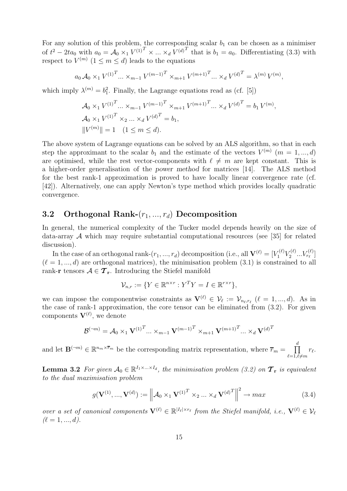For any solution of this problem, the corresponding scalar  $b_1$  can be chosen as a minimiser of  $t^2 - 2ta_0$  with  $a_0 = \mathcal{A}_0 \times_1 V^{(1)^T} \times ... \times_d V^{(d)^T}$  that is  $b_1 = a_0$ . Differentiating (3.3) with respect to  $V^{(m)}$   $(1 \le m \le d)$  leads to the equations

$$
a_0 \mathcal{A}_0 \times_1 V^{(1)^T} \dots \times_{m-1} V^{(m-1)^T} \times_{m+1} V^{(m+1)^T} \dots \times_d V^{(d)^T} = \lambda^{(m)} V^{(m)},
$$

which imply  $\lambda^{(m)} = b_1^2$ . Finally, the Lagrange equations read as (cf. [5])

$$
\mathcal{A}_0 \times_1 V^{(1)^T} \dots \times_{m-1} V^{(m-1)^T} \times_{m+1} V^{(m+1)^T} \dots \times_d V^{(d)^T} = b_1 V^{(m)},
$$
  

$$
\mathcal{A}_0 \times_1 V^{(1)^T} \times_2 \dots \times_d V^{(d)^T} = b_1,
$$
  

$$
||V^{(m)}|| = 1 \quad (1 \le m \le d).
$$

The above system of Lagrange equations can be solved by an ALS algorithm, so that in each step the approximant to the scalar  $b_1$  and the estimate of the vectors  $V^{(m)}$  ( $m = 1, ..., d$ ) are optimised, while the rest vector-components with  $\ell \neq m$  are kept constant. This is a higher-order generalisation of the *power method* for matrices [14]. The ALS method for the best rank-1 approximation is proved to have locally linear convergence rate (cf. [42]). Alternatively, one can apply Newton's type method which provides locally quadratic convergence.

### **3.2 Orthogonal Rank-**(r1, ..., r*d*) **Decomposition**

In general, the numerical complexity of the Tucker model depends heavily on the size of data-array  $\mathcal A$  which may require substantial computational resources (see [35] for related discussion).

In the case of an orthogonal rank- $(r_1, ..., r_d)$  decomposition (i.e., all  $\mathbf{V}^{(\ell)} = [V_1^{(\ell)} V_2^{(\ell)} ... V_{r_\ell}^{(\ell)}]$  $(\ell = 1, ..., d)$  are orthogonal matrices), the minimisation problem  $(3.1)$  is constrained to all rank-**r** tensors  $A \in \mathcal{T}_r$ . Introducing the Stiefel manifold

$$
\mathcal{V}_{n,r} := \{ Y \in \mathbb{R}^{n \times r} : Y^T Y = I \in \mathbb{R}^{r \times r} \},
$$

we can impose the componentwise constraints as  $\mathbf{V}^{(\ell)} \in \mathcal{V}_{\ell} := \mathcal{V}_{n_{\ell},r_{\ell}} (\ell = 1,...,d)$ . As in the case of rank-1 approximation, the core tensor can be eliminated from (3.2). For given components  $\mathbf{V}^{(\ell)}$ , we denote

$$
\mathcal{B}^{(-m)} = \mathcal{A}_0 \times_1 \mathbf{V}^{(1)^T} \dots \times_{m-1} \mathbf{V}^{(m-1)^T} \times_{m+1} \mathbf{V}^{(m+1)^T} \dots \times_d \mathbf{V}^{(d)^T}
$$

and let  $\mathbf{B}^{(-m)} \in \mathbb{R}^{n_m \times \overline{r}_m}$  be the corresponding matrix representation, where  $\overline{r}_m = \prod_{i=1}^d \overline{r}_i$  $\ell = 1, \overline{\ell} \neq m$  $r_{\ell}$ .

**Lemma 3.2** For given  $A_0 \in \mathbb{R}^{I_1 \times ... \times I_d}$ , the minimisation problem (3.2) on  $\mathcal{T}_r$  is equivalent to the dual maximisation problem

$$
g(\mathbf{V}^{(1)}, ..., \mathbf{V}^{(d)}) := \left\| \mathcal{A}_0 \times_1 \mathbf{V}^{(1)T} \times_2 ... \times_d \mathbf{V}^{(d)T} \right\|^2 \to \max \tag{3.4}
$$

over a set of canonical components  $\mathbf{V}^{(\ell)} \in \mathbb{R}^{|I_{\ell}| \times r_{\ell}}$  from the Stiefel manifold, i.e.,  $\mathbf{V}^{(\ell)} \in \mathcal{V}_{\ell}$  $(\ell = 1, ..., d).$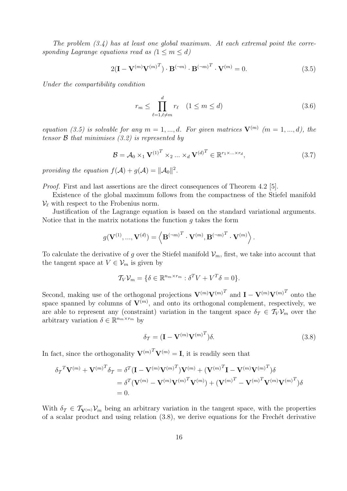The problem  $(3.4)$  has at least one global maximum. At each extremal point the corresponding Lagrange equations read as  $(1 \le m \le d)$ 

$$
2(\mathbf{I} - \mathbf{V}^{(m)}\mathbf{V}^{(m)^{T}}) \cdot \mathbf{B}^{(\neg m)} \cdot \mathbf{B}^{(\neg m)^{T}} \cdot \mathbf{V}^{(m)} = 0.
$$
 (3.5)

Under the compartibility condition

$$
r_m \le \prod_{\ell=1,\ell \ne m}^d r_\ell \quad (1 \le m \le d) \tag{3.6}
$$

equation (3.5) is solvable for any  $m = 1, ..., d$ . For given matrices  $\mathbf{V}^{(m)}$  ( $m = 1, ..., d$ ), the tensor  $\beta$  that minimises (3.2) is represented by

$$
\mathcal{B} = \mathcal{A}_0 \times_1 \mathbf{V}^{(1)^T} \times_2 \dots \times_d \mathbf{V}^{(d)^T} \in \mathbb{R}^{r_1 \times \dots \times r_d},\tag{3.7}
$$

providing the equation  $f(\mathcal{A}) + g(\mathcal{A}) = ||\mathcal{A}_0||^2$ .

*Proof.* First and last assertions are the direct consequences of Theorem 4.2 [5].

Existence of the global maximum follows from the compactness of the Stiefel manifold  $\mathcal{V}_{\ell}$  with respect to the Frobenius norm.

Justification of the Lagrange equation is based on the standard variational arguments. Notice that in the matrix notations the function  $q$  takes the form

$$
g(\mathbf{V}^{(1)},...,\mathbf{V}^{(d)})=\left\langle \mathbf{B}^{(-m)^T}\cdot\mathbf{V}^{(m)},\mathbf{B}^{(-m)^T}\cdot\mathbf{V}^{(m)} \right\rangle.
$$

To calculate the derivative of g over the Stiefel manifold  $\mathcal{V}_m$ , first, we take into account that the tangent space at  $V \in \mathcal{V}_m$  is given by

$$
\mathcal{T}_V \mathcal{V}_m = \{ \delta \in \mathbb{R}^{n_m \times r_m} : \delta^T V + V^T \delta = 0 \}.
$$

Second, making use of the orthogonal projections  $\mathbf{V}^{(m)}\mathbf{V}^{(m)}^T$  and  $\mathbf{I} - \mathbf{V}^{(m)}\mathbf{V}^{(m)}^T$  onto the space spanned by columns of  $V^{(m)}$ , and onto its orthogonal complement, respectively, we are able to represent any (constraint) variation in the tangent space  $\delta_{\mathcal{T}} \in \mathcal{T}_{V} \mathcal{V}_{m}$  over the arbitrary variation  $\delta \in \mathbb{R}^{n_m \times r_m}$  by

$$
\delta_{\mathcal{T}} = (\mathbf{I} - \mathbf{V}^{(m)} \mathbf{V}^{(m)^{T}}) \delta.
$$
\n(3.8)

In fact, since the orthogonality  $\mathbf{V}^{(m)T}\mathbf{V}^{(m)} = \mathbf{I}$ , it is readily seen that

$$
\delta_{\mathcal{T}}^T \mathbf{V}^{(m)} + \mathbf{V}^{(m)^T} \delta_{\mathcal{T}} = \delta^T (\mathbf{I} - \mathbf{V}^{(m)} \mathbf{V}^{(m)^T}) \mathbf{V}^{(m)} + (\mathbf{V}^{(m)^T} \mathbf{I} - \mathbf{V}^{(m)} \mathbf{V}^{(m)^T}) \delta
$$
  
= 
$$
\delta^T (\mathbf{V}^{(m)} - \mathbf{V}^{(m)} \mathbf{V}^{(m)^T} \mathbf{V}^{(m)}) + (\mathbf{V}^{(m)^T} - \mathbf{V}^{(m)^T} \mathbf{V}^{(m)} \mathbf{V}^{(m)^T}) \delta
$$
  
= 0.

With  $\delta_{\mathcal{T}} \in \mathcal{T}_{\mathbf{V}^{(m)}} \mathcal{V}_m$  being an arbitrary variation in the tangent space, with the properties of a scalar product and using relation  $(3.8)$ , we derive equations for the Frechét derivative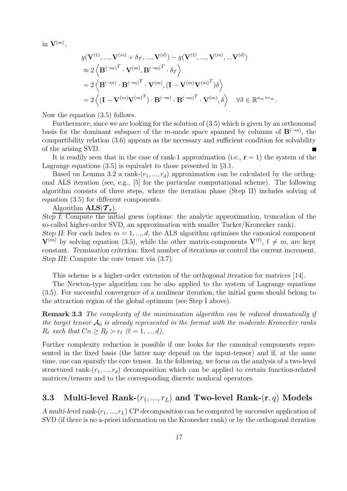in  $\mathbf{V}^{(m)}$ ,

$$
g(\mathbf{V}^{(1)},...,\mathbf{V}^{(m)} + \delta_{\mathcal{T}},...,\mathbf{V}^{(d)}) - g(\mathbf{V}^{(1)},...,\mathbf{V}^{(m)},...\mathbf{V}^{(d)})
$$
  
\n
$$
\approx 2 \left\langle \mathbf{B}^{(-m)^{T}} \cdot \mathbf{V}^{(m)}, \mathbf{B}^{(-m)^{T}} \cdot \delta_{\mathcal{T}} \right\rangle
$$
  
\n
$$
= 2 \left\langle \mathbf{B}^{(-m)} \cdot \mathbf{B}^{(-m)^{T}} \cdot \mathbf{V}^{(m)}, (\mathbf{I} - \mathbf{V}^{(m)}\mathbf{V}^{(m)^{T}})\delta \right\rangle
$$
  
\n
$$
= 2 \left\langle (\mathbf{I} - \mathbf{V}^{(m)}\mathbf{V}^{(m)^{T}}) \cdot \mathbf{B}^{(-m)} \cdot \mathbf{B}^{(-m)^{T}} \cdot \mathbf{V}^{(m)}, \delta \right\rangle \quad \forall \delta \in \mathbb{R}^{n_{m} \times r_{m}}.
$$

Now the equation (3.5) follows.

Furthermore, since we are looking for the solution of (3.5) which is given by an orthonomal basis for the dominant subspace of the m-mode space spanned by columns of  $\mathbf{B}^{(-m)}$ , the compartibility relation (3.6) appears as the necessary and sufficient condition for solvability of the arising SVD.

It is readily seen that in the case of rank-1 approximation (i.e.,  $\mathbf{r} = 1$ ) the system of the Lagrange equations  $(3.5)$  is equivalet to those presented in  $\S 3.1$ .

Based on Lemma 3.2 a rank- $(r_1, ..., r_d)$  approximation can be calculated by the orthogonal ALS iteration (see, e.g., [5] for the particular computational scheme). The following algorithm consists of three steps, where the iteration phase (Step II) includes solving of equation (3.5) for different components.

Algorithm  $\mathbf{ALS}(\mathcal{T}_r)$ .

*Step I*: Compute the initial guess (options: the analytic approximation, truncation of the so-called higher-order SVD, an approximation with smaller Tucker/Kronecker rank).

*Step II*: For each index  $m = 1, ..., d$ , the ALS algorithm optimises the canonical component  $\mathbf{V}^{(m)}$  by solving equation (3.5), while the other matrix-components  $\mathbf{V}^{(\ell)}$ ,  $\ell \neq m$ , are kept constant. *Termination criterion:* fixed number of iterations or control the current increment. *Step III*: Compute the core tensor via (3.7).

This scheme is a higher-order extension of the *orthogonal iteration* for matrices [14].

The Newton-type algorithm can be also applied to the system of Lagrange equations (3.5). For successful convergence of a nonlinear iteration, the initial guess should belong to the attraction region of the global optimum (see Step I above).

**Remark 3.3** The complexity of the minimisation algorithm can be reduced dramatically if the target tensor  $A_0$  is already represented in the format with the moderate Kronecker ranks  $R_{\ell}$  such that  $Cn \geq R_{\ell} > r_{\ell}$  ( $\ell = 1, ..., d$ ).

Further complexity reduction is possible if one looks for the canonical components represented in the fixed basis (the latter may depend on the input-tensor) and if, at the same time, one can sparsify the core tensor. In the following, we focus on the analysis of a two-level structured rank- $(r_1, ..., r_d)$  decomposition which can be applied to certain function-related matrices/tensors and to the corresponding discrete nonlocal operators.

## **3.3 Multi-level Rank-**(r1, ..., r*L*) **and Two-level Rank-**(**r**, q) **Models**

*A multi-level rank-* $(r_1, ..., r_L)$  *CP decomposition* can be computed by successive application of SVD (if there is no a-priori information on the Kronecker rank) or by the orthogonal iteration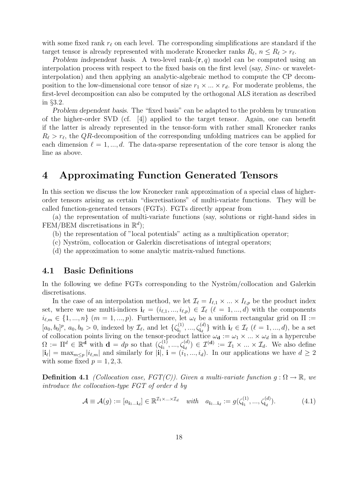with some fixed rank  $r_{\ell}$  on each level. The corresponding simplifications are standard if the target tensor is already represented with moderate Kronecker ranks  $R_{\ell}, n \leq R_{\ell} > r_{\ell}$ .

*Problem independent basis.* A two-level rank- $(\mathbf{r}, q)$  model can be computed using an interpolation process with respect to the fixed basis on the first level (say, Sinc- or waveletinterpolation) and then applying an analytic-algebraic method to compute the CP decomposition to the low-dimensional core tensor of size  $r_1 \times ... \times r_d$ . For moderate problems, the first-level decomposition can also be computed by the orthogonal ALS iteration as described in §3.2.

*Problem dependent basis*. The "fixed basis" can be adapted to the problem by truncation of the higher-order SVD (cf. [4]) applied to the target tensor. Again, one can benefit if the latter is already represented in the tensor-form with rather small Kronecker ranks  $R_{\ell} > r_{\ell}$ , the QR-decomposition of the corresponding unfolding matrices can be applied for each dimension  $\ell = 1, ..., d$ . The data-sparse representation of the core tensor is along the line as above.

## **4 Approximating Function Generated Tensors**

In this section we discuss the low Kronecker rank approximation of a special class of higherorder tensors arising as certain "discretisations" of multi-variate functions. They will be called function-generated tensors (FGTs). FGTs directly appear from

(a) the representation of multi-variate functions (say, solutions or right-hand sides in FEM/BEM discretisations in  $\mathbb{R}^d$ ;

- (b) the representation of "local potentials" acting as a multiplication operator;
- $(c)$  Nyström, collocation or Galerkin discretisations of integral operators;
- (d) the approximation to some analytic matrix-valued functions.

#### **4.1 Basic Definitions**

In the following we define FGTs corresponding to the Nyström/collocation and Galerkin discretisations.

In the case of an interpolation method, we let  $\mathcal{I}_{\ell} = I_{\ell,1} \times ... \times I_{\ell,p}$  be the product index set, where we use multi-indices  $\mathbf{i}_{\ell} = (i_{\ell,1},...,i_{\ell,p}) \in \mathcal{I}_{\ell}$  ( $\ell = 1,...,d$ ) with the components  $i_{\ell,m} \in \{1,...,n\}$  (m = 1, ..., p). Furthermore, let  $\omega_{\ell}$  be a uniform rectangular grid on  $\Pi :=$  $[a_0, b_0]^p$ ,  $a_0, b_0 > 0$ , indexed by  $\mathcal{I}_{\ell}$ , and let  $\{\zeta_{i_1}^{(1)}, ..., \zeta_{i_d}^{(d)}\}$  with  $\mathbf{i}_{\ell} \in \mathcal{I}_{\ell}$  ( $\ell = 1, ..., d$ ), be a set of collocation points living on the tensor-product lattice  $\omega_{\mathbf{d}} := \omega_1 \times ... \times \omega_d$  in a hypercube<br>  $\Omega := \Pi^d \in \mathbb{R}^{\mathbf{d}}$  with  $\mathbf{d} = dp$  so that  $(\zeta_{i_1}^{(1)}, ..., \zeta_{i_d}^{(d)}) \in \mathcal{I}^{(\mathbf{d})} := \mathcal{I}_1 \times ... \times \mathcal{I}_d$ . We also  $|\mathbf{i}_{\ell}| = \max_{m \leq p} |i_{\ell,m}|$  and similarly for  $|\mathbf{i}|$ ,  $\mathbf{i} = (i_1, ..., i_d)$ . In our applications we have  $d \geq 2$ with some fixed  $p = 1, 2, 3$ .

**Definition 4.1** (Collocation case,  $FGT(C)$ ). Given a multi-variate function  $q : \Omega \to \mathbb{R}$ , we introduce the collocation-type FGT of order d by

$$
\mathcal{A} \equiv \mathcal{A}(g) := [a_{\mathbf{i}_1 \dots \mathbf{i}_d}] \in \mathbb{R}^{\mathcal{I}_1 \times \dots \times \mathcal{I}_d} \quad with \quad a_{\mathbf{i}_1 \dots \mathbf{i}_d} := g(\zeta_{\mathbf{i}_1}^{(1)}, \dots, \zeta_{\mathbf{i}_d}^{(d)}). \tag{4.1}
$$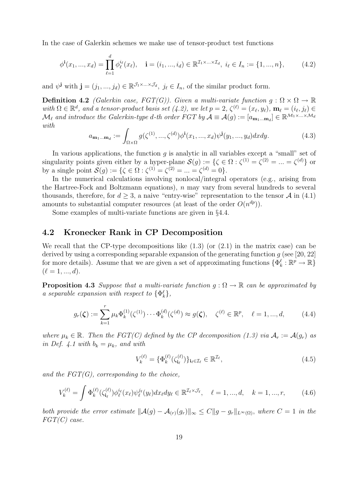In the case of Galerkin schemes we make use of tensor-product test functions

$$
\phi^{\mathbf{i}}(x_1, ..., x_d) = \prod_{\ell=1}^d \phi_\ell^{i_\ell}(x_\ell), \quad \mathbf{i} = (i_1, ..., i_d) \in \mathbb{R}^{\mathcal{I}_1 \times ... \times \mathcal{I}_d}, \ i_\ell \in I_n := \{1, ..., n\},\tag{4.2}
$$

and  $\psi^{\mathbf{j}}$  with  $\mathbf{j} = (j_1, ..., j_d) \in \mathbb{R}^{\mathcal{J}_1 \times ... \times \mathcal{J}_d}$ ,  $j_\ell \in I_n$ , of the similar product form.

**Definition 4.2** (Galerkin case, FGT(G)). Given a multi-variate function  $g : \Omega \times \Omega \to \mathbb{R}$ with  $\Omega \in \mathbb{R}^d$ , and a tensor-product basis set  $(4.2)$ , we let  $p = 2$ ,  $\zeta^{(\ell)} = (x_\ell, y_\ell)$ ,  $\mathbf{m}_\ell = (i_\ell, j_\ell) \in$  $\mathcal{M}_{\ell}$  and introduce the Galerkin-type d-th order FGT by  $\mathcal{A} \equiv \mathcal{A}(g) := [a_{\mathbf{m}_1...\mathbf{m}_d}] \in \mathbb{R}^{\mathcal{M}_1 \times ... \times \mathcal{M}_d}$ with.

$$
a_{\mathbf{m}_1...\mathbf{m}_d} := \int_{\Omega \times \Omega} g(\zeta^{(1)}, ..., \zeta^{(d)}) \phi^{\mathbf{i}}(x_1, ..., x_d) \psi^{\mathbf{j}}(y_1, ..., y_d) dx dy.
$$
 (4.3)

In various applications, the function  $g$  is analytic in all variables except a "small" set of singularity points given either by a hyper-plane  $\mathcal{S}(g) := \{ \zeta \in \Omega : \zeta^{(1)} = \zeta^{(2)} = ... = \zeta^{(d)} \}$  or by a single point  $\mathcal{S}(g) := \{ \zeta \in \Omega : \zeta^{(1)} = \zeta^{(2)} = ... = \zeta^{(d)} = 0 \}.$ 

In the numerical calculations involving nonlocal/integral operators (e.g., arising from the Hartree-Fock and Boltzmann equations),  $n$  may vary from several hundreds to several thousands, therefore, for  $d \geq 3$ , a naive "entry-wise" representation to the tensor A in (4.1) amounts to substantial computer resources (at least of the order  $O(n^{dp})$ ).

Some examples of multi-variate functions are given in §4.4.

#### **4.2 Kronecker Rank in CP Decomposition**

We recall that the CP-type decompositions like  $(1.3)$  (or  $(2.1)$ ) in the matrix case) can be derived by using a corresponding separable expansion of the generating function  $g$  (see [20, 22] for more details). Assume that we are given a set of approximating functions  $\{\Phi_k^{\ell} : \mathbb{R}^p \to \mathbb{R}\}$  $(\ell = 1, ..., d).$ 

**Proposition 4.3** Suppose that a multi-variate function  $q : \Omega \to \mathbb{R}$  can be approximated by a separable expansion with respect to  $\{\Phi_k^{\ell}\},$ 

$$
g_r(\zeta) := \sum_{k=1}^r \mu_k \Phi_k^{(1)}(\zeta^{(1)}) \cdots \Phi_k^{(d)}(\zeta^{(d)}) \approx g(\zeta), \quad \zeta^{(\ell)} \in \mathbb{R}^p, \quad \ell = 1, ..., d,
$$
 (4.4)

where  $\mu_k \in \mathbb{R}$ . Then the FGT(C) defined by the CP decomposition (1.3) via  $\mathcal{A}_r := \mathcal{A}(g_r)$  as in Def. 4.1 with  $b_k = \mu_k$ , and with

$$
V_k^{(\ell)} = \{\Phi_k^{(\ell)}(\zeta_{i_\ell}^{(\ell)})\}_{i_\ell \in \mathcal{I}_\ell} \in \mathbb{R}^{\mathcal{I}_\ell},\tag{4.5}
$$

and the  $FGT(G)$ , corresponding to the choice,

$$
V_k^{(\ell)} = \int \Phi_k^{(\ell)}(\zeta_{\mathbf{i}_\ell}^{(\ell)}) \phi_\ell^{i_\ell}(x_\ell) \psi_\ell^{j_\ell}(y_\ell) dx_\ell dy_\ell \in \mathbb{R}^{\mathcal{I}_\ell \times \mathcal{J}_\ell}, \quad \ell = 1, ..., d, \quad k = 1, ..., r,
$$
 (4.6)

both provide the error estimate  $\|\mathcal{A}(g) - \mathcal{A}_{(r)}(g_r)\|_{\infty} \leq C \|g - g_r\|_{L^{\infty}(\Omega)}$ , where  $C = 1$  in the FGT(C) case.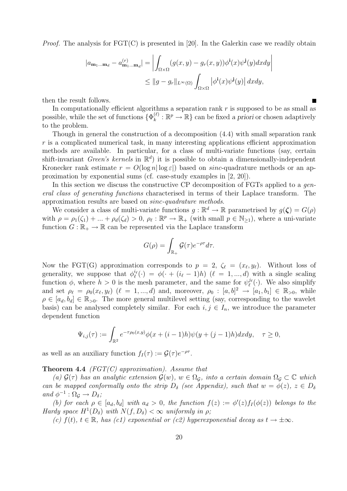*Proof.* The analysis for  $\text{FGT}(C)$  is presented in [20]. In the Galerkin case we readily obtain

$$
|a_{\mathbf{m}_1...\mathbf{m}_d} - a_{\mathbf{m}_1...\mathbf{m}_d}^{(r)}| = \left| \int_{\Omega \times \Omega} (g(x, y) - g_r(x, y)) \phi^{\mathbf{i}}(x) \psi^{\mathbf{j}}(y) dx dy \right|
$$
  

$$
\leq ||g - g_r||_{L^{\infty}(\Omega)} \int_{\Omega \times \Omega} |\phi^{\mathbf{i}}(x) \psi^{\mathbf{j}}(y)| dx dy,
$$

then the result follows.

In computationally efficient algorithms a separation rank  $r$  is supposed to be as small as possible, while the set of functions  $\{\Phi_k^{(\ell)} : \mathbb{R}^p \to \mathbb{R}\}$  can be fixed *a priori* or chosen adaptively to the problem.

Though in general the construction of a decomposition (4.4) with small separation rank r is a complicated numerical task, in many interesting applications efficient approximation methods are available. In particular, for a class of multi-variate functions (say, certain shift-invariant Green's kernels in  $\mathbb{R}^d$ ) it is possible to obtain a dimensionally-independent Kronecker rank estimate  $r = O(\log n | \log \varepsilon|)$  based on sinc-quadrature methods or an approximation by exponential sums (cf. case-study examples in [2, 20]).

In this section we discuss the constructive CP decomposition of FGTs applied to a general class of generating functions characterised in terms of their Laplace transform. The approximation results are based on sinc-quadrature methods.

We consider a class of multi-variate functions  $q : \mathbb{R}^d \to \mathbb{R}$  parametrised by  $q(\zeta) = G(\rho)$ with  $\rho = \rho_1(\zeta_1) + ... + \rho_d(\zeta_d) > 0$ ,  $\rho_\ell : \mathbb{R}^p \to \mathbb{R}_+$  (with small  $p \in \mathbb{N}_{\geq 1}$ ), where a uni-variate function  $G: \mathbb{R}_+ \to \mathbb{R}$  can be represented via the Laplace transform

$$
G(\rho) = \int_{\mathbb{R}_+} \mathcal{G}(\tau) e^{-\rho \tau} d\tau.
$$

Now the FGT(G) approximation corresponds to  $p = 2$ ,  $\zeta_{\ell} = (x_{\ell}, y_{\ell})$ . Without loss of generality, we suppose that  $\phi_{\ell}^{i_{\ell}}(\cdot) = \phi(\cdot + (i_{\ell} - 1)h)$   $(\ell = 1, ..., d)$  with a single scaling function  $\phi$ , where  $h > 0$  is the mesh parameter, and the same for  $\psi_{\ell}^{j_{\ell}}(\cdot)$ . We also simplify and set  $\rho_{\ell} = \rho_0(x_{\ell}, y_{\ell})$  ( $\ell = 1, ..., d$ ) and, moreover,  $\rho_0 : [a, b]^2 \to [a_1, b_1] \in \mathbb{R}_{>0}$ , while  $\rho \in [a_d, b_d] \in \mathbb{R}_{>0}$ . The more general multilevel setting (say, corresponding to the wavelet basis) can be analysed completely similar. For each  $i, j \in I_n$ , we introduce the parameter dependent function

$$
\Psi_{i,j}(\tau) := \int_{\mathbb{R}^2} e^{-\tau \rho_0(x,y)} \phi(x + (i-1)h) \psi(y + (j-1)h) dx dy, \quad \tau \ge 0,
$$

as well as an auxiliary function  $f_I(\tau) := \mathcal{G}(\tau) e^{-\rho \tau}$ .

**Theorem 4.4** (FGT(C) approximation). Assume that

(a)  $\mathcal{G}(\tau)$  has an analytic extension  $\mathcal{G}(w)$ ,  $w \in \Omega_{\mathcal{G}}$ , into a certain domain  $\Omega_{\mathcal{G}} \subset \mathbb{C}$  which can be mapped conformally onto the strip  $D_{\delta}$  (see Appendix), such that  $w = \phi(z)$ ,  $z \in D_{\delta}$ and  $\phi^{-1} : \Omega_{\mathcal{G}} \to D_{\delta}$ ;

(b) for each  $\rho \in [a_d, b_d]$  with  $a_d > 0$ , the function  $f(z) := \phi'(z) f_I(\phi(z))$  belongs to the Hardy space  $H^1(D_\delta)$  with  $N(f, D_\delta) < \infty$  uniformly in  $\rho$ ;

(c)  $f(t), t \in \mathbb{R}$ , has (c1) exponential or (c2) hyperexponential decay as  $t \to \pm \infty$ .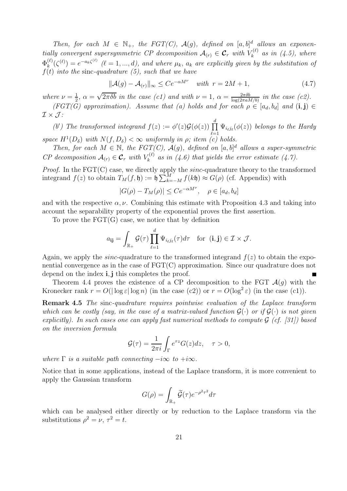Then, for each  $M \in \mathbb{N}_+$ , the  $FGT(C)$ ,  $\mathcal{A}(g)$ , defined on  $[a, b]^d$  allows an exponentially convergent supersymmetric CP decomposition  $\mathcal{A}_{(r)} \in \mathcal{C}_r$  with  $V_k^{(\ell)}$  as in (4.5), where  $\Phi_k^{(\ell)}(\zeta^{(\ell)}) = e^{-a_k \zeta^{(\ell)}}$  ( $\ell = 1, ..., d$ ), and where  $\mu_k$ ,  $a_k$  are explicitly given by the substitution of  $f(t)$  into the sinc-quadrature (5), such that we have

$$
\|\mathcal{A}(g) - \mathcal{A}_{(r)}\|_{\infty} \le Ce^{-\alpha M^{\nu}} \quad \text{with} \ \ r = 2M + 1,\tag{4.7}
$$

where  $\nu = \frac{1}{2}$  $\frac{1}{2}$ ,  $\alpha = \sqrt{2\pi\delta b}$  in the case (c1) and with  $\nu = 1$ ,  $\alpha = \frac{2\pi\delta b}{\log(2\pi a M/b)}$  in the case (c2).  $(FGT(\overline{G})$  approximation). Assume that (a) holds and for each  $\rho \in [a_d, b_d]$  and  $(i, j) \in$ 

 $\mathcal{I}\times\mathcal{J}$ : (b') The transformed integrand  $f(z) := \phi'(z) \mathcal{G}(\phi(z)) \prod_{i=1}^{d}$ space  $H^1(D_\delta)$  with  $N(f, D_\delta) < \infty$  uniformly in  $\rho$ ; item (c) holds.  $\Psi_{i_\ell j_\ell}(\phi(z))$  belongs to the Hardy

Then, for each  $M \in \mathbb{N}$ , the FGT(C),  $\mathcal{A}(g)$ , defined on  $[a, b]^d$  allows a super-symmetric CP decomposition  $A_{(r)} \in \mathcal{C}_r$  with  $V_k^{(\ell)}$  as in (4.6) that yields the error estimate (4.7).

*Proof.* In the FGT(C) case, we directly apply the *sinc*-quadrature theory to the transformed integrand  $f(z)$  to obtain  $T_M(f, \mathfrak{h}) := \mathfrak{h} \sum_{k=-M}^{M} f(k\mathfrak{h}) \approx G(\rho)$  (cf. Appendix) with

$$
|G(\rho) - T_M(\rho)| \le Ce^{-\alpha M^{\nu}}, \quad \rho \in [a_d, b_d]
$$

and with the respective  $\alpha, \nu$ . Combining this estimate with Proposition 4.3 and taking into account the separability property of the exponential proves the first assertion.

To prove the  $\text{FGT}(G)$  case, we notice that by definition

$$
a_{ij} = \int_{\mathbb{R}_+} \mathcal{G}(\tau) \prod_{\ell=1}^d \Psi_{i_\ell j_\ell}(\tau) d\tau \quad \text{for } (i, j) \in \mathcal{I} \times \mathcal{J}.
$$

Again, we apply the *sinc*-quadrature to the transformed integrand  $f(z)$  to obtain the exponential convergence as in the case of FGT(C) approximation. Since our quadrature does not depend on the index **i**,**j** this completes the proof.

Theorem 4.4 proves the existence of a CP decomposition to the FGT  $\mathcal{A}(g)$  with the Kronecker rank  $r = O(|\log \varepsilon| \log n)$  (in the case (c2)) or  $r = O(\log^2 \varepsilon)$  (in the case (c1)).

**Remark 4.5** The sinc-quadrature requires pointwise evaluation of the Laplace transform which can be costly (say, in the case of a matrix-valued function  $\mathcal{G}(\cdot)$  or if  $\mathcal{G}(\cdot)$  is not given explicitly). In such cases one can apply fast numerical methods to compute  $\mathcal{G}$  (cf. [31]) based on the inversion formula

$$
\mathcal{G}(\tau) = \frac{1}{2\pi i} \int_{\Gamma} e^{\tau z} G(z) dz, \quad \tau > 0,
$$

where  $\Gamma$  is a suitable path connecting  $-i\infty$  to  $+i\infty$ .

Notice that in some applications, instead of the Laplace transform, it is more convenient to apply the Gaussian transform

$$
G(\rho) = \int_{\mathbb{R}_+} \widetilde{\mathcal{G}}(\tau) e^{-\rho^2 \tau^2} d\tau
$$

which can be analysed either directly or by reduction to the Laplace transform via the substitutions  $\rho^2 = \nu$ ,  $\tau^2 = t$ .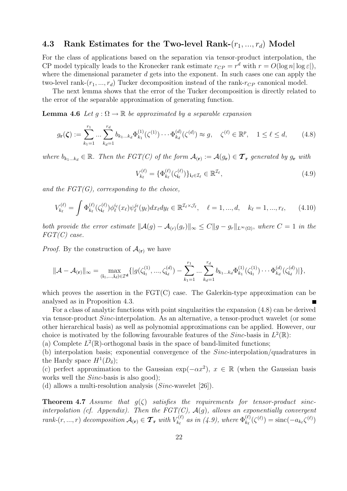#### **4.3 Rank Estimates for the Two-level Rank-**(r1, ..., r*d*) **Model**

For the class of applications based on the separation via tensor-product interpolation, the CP model typically leads to the Kronecker rank estimate  $r_{CP} = r^d$  with  $r = O(\log n |\log \varepsilon|)$ , where the dimensional parameter  $d$  gets into the exponent. In such cases one can apply the two-level rank- $(r_1, ..., r_d)$  Tucker decomposition instead of the rank- $r_{CP}$  canonical model.

The next lemma shows that the error of the Tucker decomposition is directly related to the error of the separable approximation of generating function.

**Lemma 4.6** Let  $g : \Omega \to \mathbb{R}$  be approximated by a separable expansion

$$
g_{\mathbf{r}}(\zeta) := \sum_{k_1=1}^{r_1} \dots \sum_{k_d=1}^{r_d} b_{k_1 \dots k_d} \Phi_{k_1}^{(1)}(\zeta^{(1)}) \dots \Phi_{k_d}^{(d)}(\zeta^{(d)}) \approx g, \quad \zeta^{(\ell)} \in \mathbb{R}^p, \quad 1 \le \ell \le d,
$$
 (4.8)

where  $b_{k_1...k_d} \in \mathbb{R}$ . Then the  $FGT(C)$  of the form  $\mathcal{A}_{(r)} := \mathcal{A}(g_r) \in \mathcal{T}_r$  generated by  $g_r$  with

$$
V_{k_{\ell}}^{(\ell)} = \{ \Phi_{k_{\ell}}^{(\ell)}(\zeta_{i_{\ell}}^{(\ell)}) \}_{i_{\ell} \in \mathcal{I}_{\ell}} \in \mathbb{R}^{\mathcal{I}_{\ell}},
$$
\n(4.9)

and the  $FGT(G)$ , corresponding to the choice,

$$
V_{k_{\ell}}^{(\ell)} = \int \Phi_{k_{\ell}}^{(\ell)}(\zeta_{i_{\ell}}^{(\ell)}) \phi_{\ell}^{i_{\ell}}(x_{\ell}) \psi_{\ell}^{j_{\ell}}(y_{\ell}) dx_{\ell} dy_{\ell} \in \mathbb{R}^{\mathcal{I}_{\ell} \times \mathcal{J}_{\ell}}, \quad \ell = 1, ..., d, \quad k_{\ell} = 1, ..., r_{\ell}, \tag{4.10}
$$

both provide the error estimate  $\|\mathcal{A}(g) - \mathcal{A}_{(r)}(g_r)\|_{\infty} \leq C \|g - g_r\|_{L^{\infty}(\Omega)}$ , where  $C = 1$  in the  $FGT(C)$  case.

*Proof.* By the construction of  $\mathcal{A}_{(r)}$  we have

$$
\|\mathcal{A} - \mathcal{A}_{(\mathbf{r})}\|_{\infty} = \max_{(\mathbf{i}_1,\dots,\mathbf{i}_d)\in\mathcal{I}^{\mathbf{d}}} \{ |g(\zeta_{\mathbf{i}_1}^{(1)},...,\zeta_{\mathbf{i}_d}^{(d)}) - \sum_{k_1=1}^{r_1} \dots \sum_{k_d=1}^{r_d} b_{k_1\dots k_d} \Phi_{k_1}^{(1)}(\zeta_{\mathbf{i}_1}^{(1)}) \dots \Phi_{k_d}^{(d)}(\zeta_{\mathbf{i}_d}^{(d)}) | \},
$$

which proves the assertion in the  $\text{FGT}(C)$  case. The Galerkin-type approximation can be analysed as in Proposition 4.3.

For a class of analytic functions with point singularities the expansion (4.8) can be derived via tensor-product Sinc-interpolation. As an alternative, a tensor-product wavelet (or some other hierarchical basis) as well as polynomial approximations can be applied. However, our choice is motivated by the following favourable features of the  $Sinc$ -basis in  $L^2(\mathbb{R})$ :

(a) Complete  $L^2(\mathbb{R})$ -orthogonal basis in the space of band-limited functions;

(b) interpolation basis; exponential convergence of the Sinc-interpolation/quadratures in the Hardy space  $H^1(D_\delta)$ ;

(c) perfect approximation to the Gaussian exp( $-\alpha x^2$ ),  $x \in \mathbb{R}$  (when the Gaussian basis works well the *Sinc*-basis is also good);

(d) allows a multi-resolution analysis  $(Sinc$ -wavelet [26]).

**Theorem 4.7** Assume that  $q(\zeta)$  satisfies the requirements for tensor-product sincinterpolation (cf. Appendix). Then the  $FGT(C)$ ,  $\mathcal{A}(g)$ , allows an exponentially convergent rank- $(r, ..., r)$  decomposition  $\mathcal{A}_{(r)} \in \mathcal{T}_{r}$  with  $V_{k_{\ell}}^{(\ell)}$  as in (4.9), where  $\Phi_{k_{\ell}}^{(\ell)}(\zeta^{(\ell)}) = \text{sinc}(-a_{k_{\ell}}\zeta^{(\ell)})$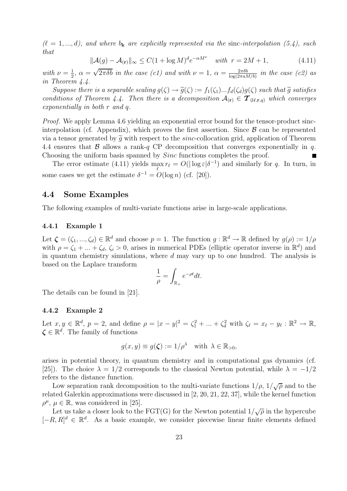$(\ell = 1, ..., d)$ , and where  $b_k$  are explicitly represented via the sinc-interpolation (5.4), such that

$$
\|\mathcal{A}(g) - \mathcal{A}_{(\mathbf{r})}\|_{\infty} \le C(1 + \log M)^d e^{-\alpha M^{\nu}} \quad \text{with } r = 2M + 1,
$$
\n(4.11)

with  $\nu = \frac{1}{2}$  $\frac{1}{2}$ ,  $\alpha = \sqrt{2\pi\delta b}$  in the case (c1) and with  $\nu = 1$ ,  $\alpha = \frac{2\pi\delta b}{\log(2\pi aM/b)}$  in the case (c2) as in Theorem 4.4.

Suppose there is a separable scaling  $g(\zeta) \to \tilde{g}(\zeta) := f_1(\zeta_1)...f_d(\zeta_d)g(\zeta)$  such that  $\tilde{g}$  satisfies conditions of Theorem 4.4. Then there is a decomposition  $A_{(r)} \in \mathcal{T}_{(\mathcal{U},r,q)}$  which converges exponentially in both r and q.

Proof. We apply Lemma 4.6 yielding an exponential error bound for the tensor-product sincinterpolation (cf. Appendix), which proves the first assertion. Since  $\beta$  can be represented via a tensor generated by  $\tilde{q}$  with respect to the *sinc*-collocation grid, application of Theorem 4.4 ensures that  $\beta$  allows a rank-q CP decomposition that converges exponentially in q. Choosing the uniform basis spanned by Sinc functions completes the proof.

The error estimate (4.11) yields  $\max_{\ell} r_{\ell} = O(|\log \varepsilon| \delta^{-1})$  and similarly for q. In turn, in some cases we get the estimate  $\delta^{-1} = O(\log n)$  (cf. [20]).

#### **4.4 Some Examples**

The following examples of multi-variate functions arise in large-scale applications.

#### **4.4.1 Example 1**

Let  $\zeta = (\zeta_1, ..., \zeta_d) \in \mathbb{R}^d$  and choose  $p = 1$ . The function  $g : \mathbb{R}^d \to \mathbb{R}$  defined by  $g(\rho) := 1/\rho$ with  $\rho = \zeta_1 + ... + \zeta_d$ ,  $\zeta_i > 0$ , arises in numerical PDEs (elliptic operator inverse in  $\mathbb{R}^d$ ) and in quantum chemistry simulations, where  $d$  may vary up to one hundred. The analysis is based on the Laplace transform

$$
\frac{1}{\rho} = \int_{\mathbb{R}_+} e^{-\rho t} dt.
$$

The details can be found in [21].

#### **4.4.2 Example 2**

Let  $x, y \in \mathbb{R}^d$ ,  $p = 2$ , and define  $\rho = |x - y|^2 = \zeta_1^2 + \ldots + \zeta_d^2$  with  $\zeta_{\ell} = x_{\ell} - y_{\ell} : \mathbb{R}^2 \to \mathbb{R}$ ,  $\zeta \in \mathbb{R}^d$  The femily of functions  $\zeta \in \mathbb{R}^d$ . The family of functions

$$
g(x, y) \equiv g(\zeta) := 1/\rho^{\lambda} \quad \text{with } \lambda \in \mathbb{R}_{>0},
$$

arises in potential theory, in quantum chemistry and in computational gas dynamics (cf. [25]). The choice  $\lambda = 1/2$  corresponds to the classical Newton potential, while  $\lambda = -1/2$ refers to the distance function.

Low separation rank decomposition to the multi-variate functions  $1/\rho$ ,  $1/\sqrt{\rho}$  and to the related Galerkin approximations were discussed in [2, 20, 21, 22, 37], while the kernel function  $\rho^{\mu}$ ,  $\mu \in \mathbb{R}$ , was considered in [25].

Let us take a closer look to the FGT(G) for the Newton potential  $1/\sqrt{\rho}$  in the hypercube  $[-R, R]^d \in \mathbb{R}^d$ . As a basic example, we consider piecewise linear finite elements defined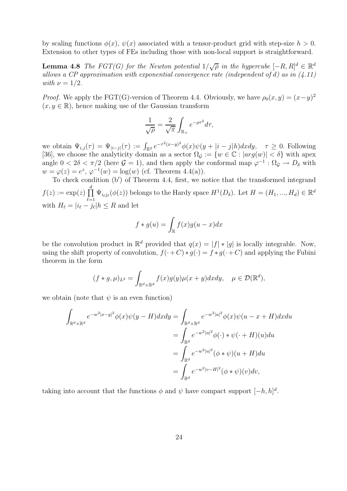by scaling functions  $\phi(x)$ ,  $\psi(x)$  associated with a tensor-product grid with step-size  $h > 0$ . Extension to other types of FEs including those with non-local support is straightforward.

**Lemma 4.8** The FGT(G) for the Newton potential  $1/\sqrt{\rho}$  in the hypercube  $[-R, R]^d \in \mathbb{R}^d$ allows a CP approximation with exponential convergence rate (independent of d) as in  $(4.11)$ with  $\nu = 1/2$ .

*Proof.* We apply the FGT(G)-version of Theorem 4.4. Obviously, we have  $\rho_0(x, y)=(x-y)^2$  $(x, y \in \mathbb{R})$ , hence making use of the Gaussian transform

$$
\frac{1}{\sqrt{\rho}} = \frac{2}{\sqrt{\pi}} \int_{\mathbb{R}_+} e^{-\rho \tau^2} d\tau,
$$

we obtain  $\Psi_{i,j}(\tau) = \Psi_{|i-j|}(\tau) := \int_{\mathbb{R}^2} e^{-\tau^2(x-y)^2} \phi(x) \psi(y+|i-j|h) dxdy, \quad \tau \geq 0$ . Following [36], we choose the analyticity domain as a sector  $\Omega_{\mathcal{G}} := \{w \in \mathbb{C} : |arg(w)| < \delta\}$  with apex angle  $0 < 2\delta < \pi/2$  (here  $\mathcal{G} = 1$ ), and then apply the conformal map  $\varphi^{-1} : \Omega_{\mathcal{G}} \to D_{\delta}$  with  $w = \varphi(z) = e^z$ ,  $\varphi^{-1}(w) = \log(w)$  (cf. Theorem 4.4(a)).

To check condition (b ) of Theorem 4.4, first, we notice that the transformed integrand  $f(z) := \exp(z) \prod_{i=1}^{d}$  $\ell=1$ <br> $\vdots$  $\Psi_{i_{\ell}j_{\ell}}(\phi(z))$  belongs to the Hardy space  $H^1(D_{\delta})$ . Let  $H = (H_1, ..., H_d) \in \mathbb{R}^d$ with  $H_{\ell} = |i_{\ell} - j_{\ell}| h \leq R$  and let

$$
f * g(u) = \int_{\mathbb{R}} f(x)g(u - x)dx
$$

be the convolution product in  $\mathbb{R}^d$  provided that  $q(x) = |f| * |g|$  is locally integrable. Now, using the shift property of convolution,  $f(\cdot+C)*g(\cdot) = f*g(\cdot+C)$  and applying the Fubini theorem in the form

$$
(f * g, \mu)_{L^2} = \int_{\mathbb{R}^d \times \mathbb{R}^d} f(x)g(y)\mu(x+y)dxdy, \quad \mu \in \mathcal{D}(\mathbb{R}^d),
$$

we obtain (note that  $\psi$  is an even function)

$$
\int_{\mathbb{R}^d \times \mathbb{R}^d} e^{-w^2 |x-y|^2} \phi(x) \psi(y - H) dx dy = \int_{\mathbb{R}^d \times \mathbb{R}^d} e^{-w^2 |u|^2} \phi(x) \psi(u - x + H) dx du
$$
  
\n
$$
= \int_{\mathbb{R}^d} e^{-w^2 |u|^2} \phi(\cdot) * \psi(\cdot + H)(u) du
$$
  
\n
$$
= \int_{\mathbb{R}^d} e^{-w^2 |u|^2} (\phi * \psi)(u + H) du
$$
  
\n
$$
= \int_{\mathbb{R}^d} e^{-w^2 |v - H|^2} (\phi * \psi)(v) dv,
$$

taking into account that the functions  $\phi$  and  $\psi$  have compact support  $[-h, h]^d$ .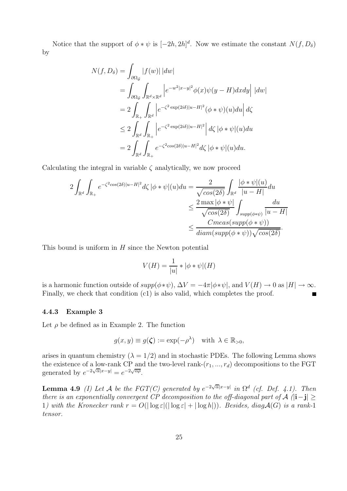Notice that the support of  $\phi * \psi$  is  $[-2h, 2h]^d$ . Now we estimate the constant  $N(f, D_{\delta})$ by

$$
N(f, D_{\delta}) = \int_{\partial \Omega_{\mathcal{G}}} |f(w)| |dw|
$$
  
= 
$$
\int_{\partial \Omega_{\mathcal{G}}} \int_{\mathbb{R}^{d} \times \mathbb{R}^{d}} |e^{-w^{2}|x-y|^{2}} \phi(x) \psi(y - H) dxdy| |dw|
$$
  
= 
$$
2 \int_{\mathbb{R}_{+}} \int_{\mathbb{R}^{d}} |e^{-\zeta^{2} \exp(2i\delta)|u - H|^{2}} (\phi * \psi)(u) du| d\zeta
$$
  

$$
\leq 2 \int_{\mathbb{R}^{d}} \int_{\mathbb{R}_{+}} |e^{-\zeta^{2} \exp(2i\delta)|u - H|^{2}} |d\zeta| \phi * \psi|(u) du
$$
  
= 
$$
2 \int_{\mathbb{R}^{d}} \int_{\mathbb{R}_{+}} e^{-\zeta^{2} \cos(2\delta)|u - H|^{2}} d\zeta |\phi * \psi|(u) du.
$$

Calculating the integral in variable  $\zeta$  analytically, we now proceed

$$
2\int_{\mathbb{R}^d} \int_{\mathbb{R}_+} e^{-\zeta^2 \cos(2\delta)|u-H|^2} d\zeta |\phi * \psi|(u) du = \frac{2}{\sqrt{\cos(2\delta)}} \int_{\mathbb{R}^d} \frac{|\phi * \psi|(u)}{|u - H|} du
$$
  

$$
\leq \frac{2 \max |\phi * \psi|}{\sqrt{\cos(2\delta)}} \int_{supp(\phi * \psi)} \frac{du}{|u - H|}
$$
  

$$
\leq \frac{Cmeas(supp(\phi * \psi))}{diam(supp(\phi * \psi))\sqrt{\cos(2\delta)}}.
$$

This bound is uniform in  $H$  since the Newton potential

$$
V(H) = \frac{1}{|u|} * |\phi * \psi|(H)
$$

is a harmonic function outside of  $supp(\phi*\psi)$ ,  $\Delta V = -4\pi |\phi*\psi|$ , and  $V(H) \to 0$  as  $|H| \to \infty$ . Finally, we check that condition (c1) is also valid, which completes the proof.  $\blacksquare$ 

#### **4.4.3 Example 3**

Let  $\rho$  be defined as in Example 2. The function

$$
g(x, y) \equiv g(\zeta) := \exp(-\rho^{\lambda})
$$
 with  $\lambda \in \mathbb{R}_{>0}$ ,

arises in quantum chemistry  $(\lambda = 1/2)$  and in stochastic PDEs. The following Lemma shows the existence of a low-rank CP and the two-level rank- $(r_1, ..., r_d)$  decompositions to the FGT generated by  $e^{-2\sqrt{\alpha}|x-y|} = e^{-2\sqrt{\alpha\rho}}$ .

**Lemma 4.9** (I) Let A be the FGT(C) generated by  $e^{-2\sqrt{\alpha}|x-y|}$  in  $\Omega^d$  (cf. Def. 4.1). Then there is an exponentially convergent CP decomposition to the off-diagonal part of A (|**i**−**j**| ≥ 1) with the Kronecker rank  $r = O(|\log \varepsilon|(|\log \varepsilon| + |\log h|))$ . Besides, diag  $\mathcal{A}(G)$  is a rank-1 tensor.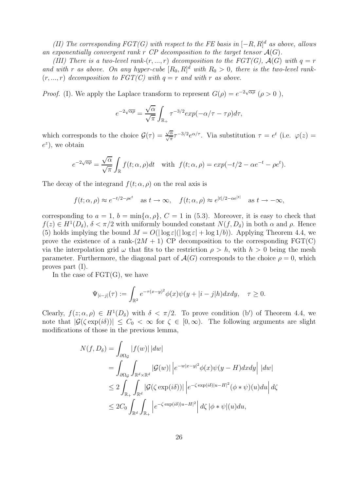(II) The corresponding  $FGT(G)$  with respect to the FE basis in  $[-R, R]^d$  as above, allows an exponentially convergent rank  $r$  CP decomposition to the target tensor  $\mathcal{A}(G)$ .

(III) There is a two-level rank- $(r, ..., r)$  decomposition to the FGT(G),  $\mathcal{A}(G)$  with  $q = r$ and with r as above. On any hyper-cube  $[R_0, R]^d$  with  $R_0 > 0$ , there is the two-level rank-<br>(x, x) deconnection to  $ECT(C)$  with  $q = r$  and with r as above.  $(r, ..., r)$  decomposition to  $FGT(C)$  with  $q = r$  and with r as above.

*Proof.* (I). We apply the Laplace transform to represent  $G(\rho) = e^{-2\sqrt{\alpha \rho}} (\rho > 0)$ ,

$$
e^{-2\sqrt{\alpha\rho}} = \frac{\sqrt{\alpha}}{\sqrt{\pi}} \int_{\mathbb{R}_+} \tau^{-3/2} exp(-\alpha/\tau - \tau \rho) d\tau,
$$

which corresponds to the choice  $\mathcal{G}(\tau) = \frac{\sqrt{\alpha}}{\sqrt{\pi}} \tau^{-3/2} e^{\alpha/\tau}$ . Via substitution  $\tau = e^t$  (i.e.  $\varphi(z) =$  $e^z$ ), we obtain

$$
e^{-2\sqrt{\alpha\rho}} = \frac{\sqrt{\alpha}}{\sqrt{\pi}} \int_{\mathbb{R}} f(t; \alpha, \rho) dt \quad \text{with} \quad f(t; \alpha, \rho) = \exp(-t/2 - \alpha e^{-t} - \rho e^t).
$$

The decay of the integrand  $f(t; \alpha, \rho)$  on the real axis is

$$
f(t; \alpha, \rho) \approx e^{-t/2 - \rho e^t}
$$
 as  $t \to \infty$ ,  $f(t; \alpha, \rho) \approx e^{|t|/2 - \alpha e^{|t|}}$  as  $t \to -\infty$ ,

corresponding to  $a = 1$ ,  $b = \min\{\alpha, \rho\}$ ,  $C = 1$  in (5.3). Moreover, it is easy to check that  $f(z) \in H^1(D_\delta)$ ,  $\delta < \pi/2$  with uniformly bounded constant  $N(f, D_\delta)$  in both  $\alpha$  and  $\rho$ . Hence (5) holds implying the bound  $M = O(|\log \varepsilon|(|\log \varepsilon| + \log 1/b))$ . Applying Theorem 4.4, we prove the existence of a rank- $(2M + 1)$  CP decomposition to the corresponding FGT(C) via the interpolation grid  $\omega$  that fits to the restriction  $\rho > h$ , with  $h > 0$  being the mesh parameter. Furthermore, the diagonal part of  $\mathcal{A}(G)$  corresponds to the choice  $\rho = 0$ , which proves part (I).

In the case of  $\text{FGT}(G)$ , we have

$$
\Psi_{|i-j|}(\tau) := \int_{\mathbb{R}^2} e^{-\tau(x-y)^2} \phi(x) \psi(y+|i-j|h) dx dy, \quad \tau \ge 0.
$$

Clearly,  $f(z; \alpha, \rho) \in H^1(D_{\delta})$  with  $\delta < \pi/2$ . To prove condition (b') of Theorem 4.4, we note that  $|\mathcal{G}(\zeta \exp(i\delta))| \leq C_0 < \infty$  for  $\zeta \in [0,\infty)$ . The following arguments are slight modifications of those in the previous lemma,

$$
N(f, D_{\delta}) = \int_{\partial \Omega_{\mathcal{G}}} |f(w)| |dw|
$$
  
= 
$$
\int_{\partial \Omega_{\mathcal{G}}} \int_{\mathbb{R}^{d} \times \mathbb{R}^{d}} |\mathcal{G}(w)| |e^{-w|x-y|^{2}} \phi(x)\psi(y-H)dxdy| |dw|
$$
  

$$
\leq 2 \int_{\mathbb{R}_{+}} \int_{\mathbb{R}^{d}} |\mathcal{G}(\zeta \exp(i\delta))| |e^{-\zeta \exp(i\delta)|u-H|^{2}} (\phi * \psi)(u)du| d\zeta
$$
  

$$
\leq 2C_{0} \int_{\mathbb{R}^{d}} \int_{\mathbb{R}_{+}} |e^{-\zeta \exp(i\delta)|u-H|^{2}} |d\zeta| \phi * \psi|(u)du,
$$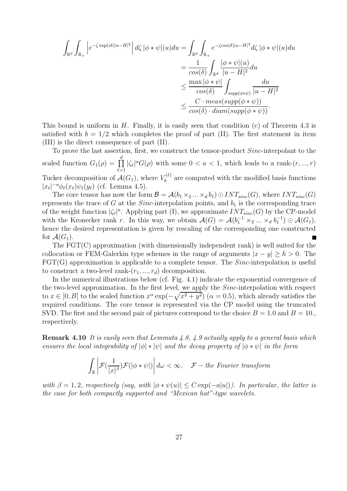$$
\int_{\mathbb{R}^d} \int_{\mathbb{R}_+} \left| e^{-\zeta \exp(i\delta)|u-H|^2} \right| d\zeta \left| \phi * \psi \right|(u) du = \int_{\mathbb{R}^d} \int_{\mathbb{R}_+} e^{-\zeta \cos(\delta)|u-H|^2} d\zeta \left| \phi * \psi \right|(u) du
$$
\n
$$
= \frac{1}{\cos(\delta)} \int_{\mathbb{R}^d} \frac{|\phi * \psi|(u)}{|u-H|^2} du
$$
\n
$$
\leq \frac{\max |\phi * \psi|}{\cos(\delta)} \int_{supp(\phi * \psi)} \frac{du}{|u-H|^2}
$$
\n
$$
\leq \frac{C \cdot \max(\sup p(\phi * \psi))}{\cos(\delta) \cdot \mathrm{diam}(\mathrm{supp}(\phi * \psi))}.
$$

This bound is uniform in H. Finally, it is easily seen that condition  $(c)$  of Theorem 4.3 is satisfied with  $b = 1/2$  which completes the proof of part (II). The first statement in item (III) is the direct consequence of part (II).

To prove the last assertion, first, we construct the tensor-product Sinc-interpolant to the scaled function  $G_1(\rho) = \prod_{\ell=1}^d$  $\int_{\frac{1}{2}}^{\frac{1}{2}}$  $|\zeta_{\ell}|^a G(\rho)$  with some  $0 < a < 1$ , which leads to a rank- $(r, ..., r)$ Tucker decomposition of  $\mathcal{A}(G_1)$ , where  $V_k^{(\ell)}$  are computed with the modified basis functions  $|x_{\ell}|^{-a}\phi_{\ell}(x_{\ell})\psi_{\ell}(y_{\ell})$  (cf. Lemma 4.5).

The core tensor has now the form  $\mathcal{B} = \mathcal{A}(b_1 \times_2 ... \times_d b_1) \odot INT_{sinc}(G)$ , where  $INT_{sinc}(G)$ represents the trace of G at the Sinc-interpolation points, and  $b_1$  is the corresponding trace of the weight function  $|\zeta_{\ell}|^a$ . Applying part (I), we approximate  $INT_{sinc}(G)$  by the CP-model with the Kronecker rank r. In this way, we obtain  $\mathcal{A}(G) = \mathcal{A}(b_1^{-1} \times_2 ... \times_d b_1^{-1}) \odot \mathcal{A}(G_1)$ ,<br>hence the desired representation is given by rescaling of the corresponding and constructed hence the desired representation is given by rescaling of the corresponding one constructed for  $\mathcal{A}(G_1)$ .

The FGT(C) approximation (with dimensionally independent rank) is well suited for the collocation or FEM-Galerkin type schemes in the range of arguments  $|x - y| > h > 0$ . The  $\text{FGT}(G)$  approximation is applicable to a complete tensor. The *Sinc*-interpolation is useful to construct a two-level rank- $(r_1, ..., r_d)$  decomposition.

In the numerical illustrations below (cf. Fig. 4.1) indicate the exponential convergence of the two-level approximation. In the first level, we apply the Sinc-interpolation with respect to  $x \in [0, B]$  to the scaled function  $x^{\alpha} \exp(-\sqrt{x^2 + y^2})$   $(\alpha = 0.5)$ , which already satisfies the required conditions. The core tensor is represented via the CP model using the truncated SVD. The first and the second pair of pictures correspond to the choice  $B = 1.0$  and  $B = 10$ . respectively.

**Remark 4.10** It is easily seen that Lemmata 4.8, 4.9 actually apply to a general basis which ensures the local integrability of  $|\phi| * |\psi|$  and the decay property of  $|\phi * \psi|$  in the form

$$
\int_{\mathbb{R}} \left| \mathcal{F}(\frac{1}{|x|^{\beta}}) \mathcal{F}(|\phi * \psi|) \right| d\omega < \infty, \quad \mathcal{F}-\text{the Fourier transform}
$$

with  $\beta = 1, 2$ , respectively (say, with  $|\phi * \psi(u)| \leq C \exp(-a|u|)$ ). In particular, the latter is the case for both compactly supported and "Mexican hat"-type wavelets.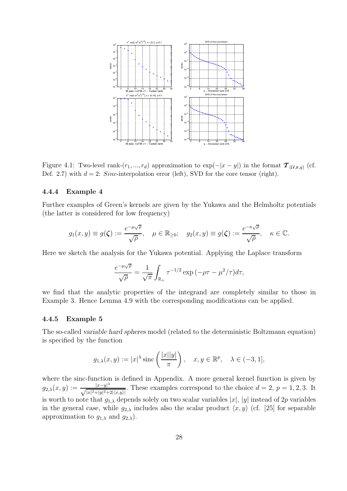

Figure 4.1: Two-level rank- $(r_1, ..., r_d)$  approximation to  $\exp(-|x-y|)$  in the format  $\mathcal{T}_{(\mathcal{U}, \mathbf{r}, q)}$  (cf. Def. 2.7) with  $d = 2$ : *Sinc*-interpolation error (left), SVD for the core tensor (right).

#### **4.4.4 Example 4**

Further examples of Green's kernels are given by the Yukawa and the Helmholtz potentials (the latter is considered for low frequency)

$$
g_1(x, y) \equiv g(\zeta) := \frac{e^{-\mu\sqrt{\rho}}}{\sqrt{\rho}}, \quad \mu \in \mathbb{R}_{\geq 0}; \quad g_2(x, y) \equiv g(\zeta) := \frac{e^{-\kappa\sqrt{\rho}}}{\sqrt{\rho}}, \quad \kappa \in \mathbb{C}.
$$

Here we sketch the analysis for the Yukawa potential. Applying the Laplace transform

$$
\frac{e^{-\mu\sqrt{\rho}}}{\sqrt{\rho}} = \frac{1}{\sqrt{\pi}} \int_{\mathbb{R}_+} \tau^{-1/2} \exp\left(-\rho\tau - \mu^2/\tau\right) d\tau,
$$

we find that the analytic properties of the integrand are completely similar to those in Example 3. Hence Lemma 4.9 with the corresponding modifications can be applied.

#### **4.4.5 Example 5**

The so-called *variable hard spheres* model (related to the deterministic Boltzmann equation) is specified by the function

$$
g_{1,\lambda}(x,y) := |x|^{\lambda} \operatorname{sinc}\left(\frac{|x||y|}{\pi}\right), \quad x, y \in \mathbb{R}^p, \quad \lambda \in (-3,1],
$$

where the sinc-function is defined in Appendix. A more general kernel function is given by  $g_{2,\lambda}(x, y) := \frac{|x-y|^{\lambda}}{\sqrt{|x|^2+|y|^2+}}$  $\frac{|x-y|^{\alpha}}{|x|^2+|y|^2+2(x,y)|}$ . These examples correspond to the choice  $d = 2$ ,  $p = 1, 2, 3$ . It is worth to note that  $g_{1,\lambda}$  depends solely on two scalar variables  $|x|, |y|$  instead of 2p variables in the general case, while  $g_{2,\lambda}$  includes also the scalar product  $\langle x, y \rangle$  (cf. [25] for separable approximation to  $g_{1,\lambda}$  and  $g_{2,\lambda}$ ).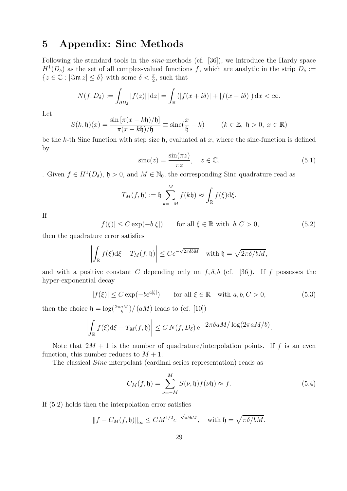## **5 Appendix: Sinc Methods**

Following the standard tools in the *sinc*-methods (cf. [36]), we introduce the Hardy space  $H^1(D_\delta)$  as the set of all complex-valued functions f, which are analytic in the strip  $D_\delta :=$  $\{z \in \mathbb{C} : |\Im \mathfrak{m} z| \le \delta\}$  with some  $\delta < \frac{\pi}{2}$ , such that

$$
N(f, D_{\delta}) := \int_{\partial D_{\delta}} |f(z)| \, |dz| = \int_{\mathbb{R}} \left( |f(x + i\delta)| + |f(x - i\delta)| \right) dx < \infty.
$$

Let

$$
S(k, \mathfrak{h})(x) = \frac{\sin\left[\pi(x - k\mathfrak{h})/\mathfrak{h}\right]}{\pi(x - k\mathfrak{h})/\mathfrak{h}} \equiv \operatorname{sinc}(\frac{x}{\mathfrak{h}} - k) \qquad (k \in \mathbb{Z}, \ \mathfrak{h} > 0, \ x \in \mathbb{R})
$$

be the k-th Sinc function with step size  $\mathfrak{h}$ , evaluated at x, where the sinc-function is defined by

$$
\text{sinc}(z) = \frac{\sin(\pi z)}{\pi z}, \quad z \in \mathbb{C}.\tag{5.1}
$$

. Given  $f \in H^1(D_\delta)$ ,  $\mathfrak{h} > 0$ , and  $M \in \mathbb{N}_0$ , the corresponding Sinc quadrature read as

$$
T_M(f, \mathfrak{h}) := \mathfrak{h} \sum_{k=-M}^M f(k\mathfrak{h}) \approx \int_{\mathbb{R}} f(\xi) d\xi.
$$

If

 $|f(\xi)| \leq C \exp(-b|\xi|)$  for all  $\xi \in \mathbb{R}$  with  $b, C > 0$ , (5.2)

then the quadrature error satisfies

$$
\left| \int_{\mathbb{R}} f(\xi) d\xi - T_M(f, \mathfrak{h}) \right| \leq C e^{-\sqrt{2\pi \delta b M}} \quad \text{with } \mathfrak{h} = \sqrt{2\pi \delta / b M},
$$

and with a positive constant C depending only on  $f, \delta, b$  (cf. [36]). If f possesses the hyper-exponential decay

$$
|f(\xi)| \le C \exp(-b e^{a|\xi|}) \qquad \text{for all } \xi \in \mathbb{R} \quad \text{with } a, b, C > 0,
$$
 (5.3)

then the choice  $\mathfrak{h} = \log(\frac{2\pi aM}{b})/(aM)$  leads to (cf. [10])

$$
\left| \int_{\mathbb{R}} f(\xi) d\xi - T_M(f, \mathfrak{h}) \right| \le C N(f, D_\delta) e^{-2\pi \delta a M / \log(2\pi a M/b)}.
$$

Note that  $2M + 1$  is the number of quadrature/interpolation points. If f is an even function, this number reduces to  $M + 1$ .

The classical Sinc interpolant (cardinal series representation) reads as

$$
C_M(f, \mathfrak{h}) = \sum_{\nu=-M}^{M} S(\nu, \mathfrak{h}) f(\nu \mathfrak{h}) \approx f. \tag{5.4}
$$

If (5.2) holds then the interpolation error satisfies

$$
||f - C_M(f, \mathfrak{h})||_{\infty} \le CM^{1/2} e^{-\sqrt{\pi \delta b M}},
$$
 with  $\mathfrak{h} = \sqrt{\pi \delta / b M}.$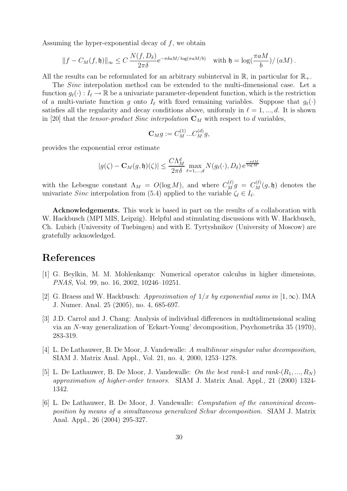Assuming the hyper-exponential decay of  $f$ , we obtain

$$
||f - C_M(f, \mathfrak{h})||_{\infty} \leq C \frac{N(f, D_{\delta})}{2\pi\delta} e^{-\pi\delta aM/\log(\pi aM/b)} \quad \text{with } \mathfrak{h} = \log(\frac{\pi aM}{b})/(aM) .
$$

All the results can be reformulated for an arbitrary subinterval in  $\mathbb{R}$ , in particular for  $\mathbb{R}_+$ .

The Sinc interpolation method can be extended to the multi-dimensional case. Let a function  $g_{\ell}(\cdot): I_{\ell} \to \mathbb{R}$  be a univariate parameter-dependent function, which is the restriction of a multi-variate function g onto  $I_{\ell}$  with fixed remaining variables. Suppose that  $g_{\ell}(\cdot)$ satisfies all the regularity and decay conditions above, uniformly in  $\ell = 1, ..., d$ . It is shown in [20] that the *tensor-product Sinc interpolation*  $C_M$  with respect to d variables,

$$
\mathbf{C}_M g := C_M^{(1)}... C_M^{(d)} g,
$$

provides the exponential error estimate

$$
|g(\zeta) - \mathbf{C}_M(g, \mathfrak{h})(\zeta)| \le \frac{C\Lambda_M^d}{2\pi\delta} \max_{\ell=1,\dots,d} N(g_\ell(\cdot), D_\delta) e^{\frac{-\pi\delta M}{\log M}}
$$

with the Lebesgue constant  $\Lambda_M = O(\log M)$ , and where  $C_M^{(\ell)}g = C_M^{(\ell)}(g, \mathfrak{h})$  denotes the univariate *Sinc* interpolation from (5.4) applied to the variable  $\zeta_{\ell} \in I_{\ell}$ .

**Acknowledgements.** This work is based in part on the results of a collaboration with W. Hackbusch (MPI MIS, Leipzig). Helpful and stimulating discussions with W. Hackbusch, Ch. Lubich (University of Tuebingen) and with E. Tyrtyshnikov (University of Moscow) are gratefully acknowledged.

## **References**

- [1] G. Beylkin, M. M. Mohlenkamp: Numerical operator calculus in higher dimensions, PNAS, Vol. 99, no. 16, 2002, 10246–10251.
- [2] G. Braess and W. Hackbusch: Approximation of  $1/x$  by exponential sums in  $[1,\infty)$ . IMA J. Numer. Anal. 25 (2005), no. 4, 685-697.
- [3] J.D. Carrol and J. Chang: Analysis of individual differences in multidimensional scaling via an N-way generalization of 'Eckart-Young' decomposition, Psychometrika 35 (1970), 283-319.
- [4] L. De Lathauwer, B. De Moor, J. Vandewalle: A multilinear singular value decomposition, SIAM J. Matrix Anal. Appl., Vol. 21, no. 4, 2000, 1253–1278.
- [5] L. De Lathauwer, B. De Moor, J. Vandewalle: On the best rank-1 and rank- $(R_1, ..., R_N)$ approximation of higher-order tensors. SIAM J. Matrix Anal. Appl., 21 (2000) 1324- 1342.
- [6] L. De Lathauwer, B. De Moor, J. Vandewalle: Computation of the canoninical decomposition by means of a simultaneous generalized Schur decomposition. SIAM J. Matrix Anal. Appl., 26 (2004) 295-327.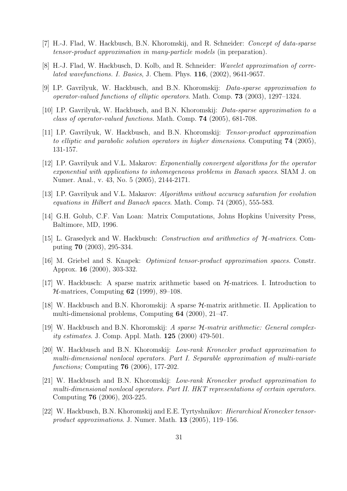- [7] H.-J. Flad, W. Hackbusch, B.N. Khoromskij, and R. Schneider: Concept of data-sparse tensor-product approximation in many-particle models (in preparation).
- [8] H.-J. Flad, W. Hackbusch, D. Kolb, and R. Schneider: Wavelet approximation of correlated wavefunctions. I. Basics, J. Chem. Phys. **116**, (2002), 9641-9657.
- [9] I.P. Gavrilyuk, W. Hackbusch, and B.N. Khoromskij: Data-sparse approximation to operator-valued functions of elliptic operators. Math. Comp. **73** (2003), 1297–1324.
- [10] I.P. Gavrilyuk, W. Hackbusch, and B.N. Khoromskij: Data-sparse approximation to a class of operator-valued functions. Math. Comp. **74** (2005), 681-708.
- [11] I.P. Gavrilyuk, W. Hackbusch, and B.N. Khoromskij: Tensor-product approximation to elliptic and parabolic solution operators in higher dimensions. Computing **74** (2005), 131-157.
- [12] I.P. Gavrilyuk and V.L. Makarov: Exponentially convergent algorithms for the operator exponential with applications to inhomegeneous problems in Banach spaces. SIAM J. on Numer. Anal., v. 43, No. 5 (2005), 2144-2171.
- [13] I.P. Gavrilyuk and V.L. Makarov: Algorithms without accuracy saturation for evolution equations in Hilbert and Banach spaces. Math. Comp. 74 (2005), 555-583.
- [14] G.H. Golub, C.F. Van Loan: Matrix Computations, Johns Hopkins University Press, Baltimore, MD, 1996.
- [15] L. Grasedyck and W. Hackbusch: Construction and arithmetics of H-matrices. Computing **70** (2003), 295-334.
- [16] M. Griebel and S. Knapek: Optimized tensor-product approximation spaces. Constr. Approx. **16** (2000), 303-332.
- [17] W. Hackbusch: A sparse matrix arithmetic based on  $H$ -matrices. I. Introduction to H-matrices, Computing **62** (1999), 89–108.
- [18] W. Hackbusch and B.N. Khoromskij: A sparse H-matrix arithmetic. II. Application to multi-dimensional problems, Computing **64** (2000), 21–47.
- [19] W. Hackbusch and B.N. Khoromskij: A sparse H-matrix arithmetic: General complexity estimates. J. Comp. Appl. Math. **125** (2000) 479-501.
- [20] W. Hackbusch and B.N. Khoromskij: Low-rank Kronecker product approximation to multi-dimensional nonlocal operators. Part I. Separable approximation of multi-variate functions; Computing **76** (2006), 177-202.
- [21] W. Hackbusch and B.N. Khoromskij: Low-rank Kronecker product approximation to multi-dimensional nonlocal operators. Part II. HKT representations of certain operators. Computing **76** (2006), 203-225.
- [22] W. Hackbusch, B.N. Khoromskij and E.E. Tyrtyshnikov: Hierarchical Kronecker tensorproduct approximations. J. Numer. Math. **13** (2005), 119–156.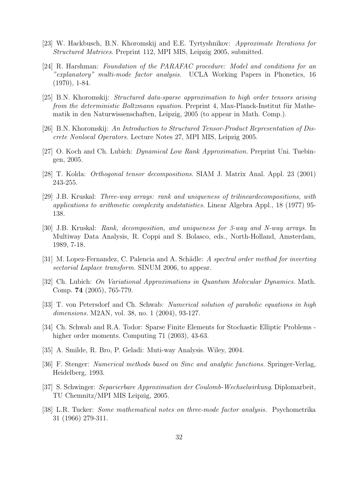- [23] W. Hackbusch, B.N. Khoromskij and E.E. Tyrtyshnikov: Approximate Iterations for Structured Matrices. Preprint 112, MPI MIS, Leipzig 2005, submitted.
- [24] R. Harshman: Foundation of the PARAFAC procedure: Model and conditions for an "explanatory" multi-mode factor analysis. UCLA Working Papers in Phonetics, 16 (1970), 1-84.
- [25] B.N. Khoromskij: Structured data-sparse approximation to high order tensors arising from the deterministic Boltzmann equation. Preprint 4, Max-Planck-Institut für Mathematik in den Naturwissenschaften, Leipzig, 2005 (to appear in Math. Comp.).
- [26] B.N. Khoromskij: An Introduction to Structured Tensor-Product Representation of Discrete Nonlocal Operators. Lecture Notes 27, MPI MIS, Leipzig 2005.
- [27] O. Koch and Ch. Lubich: *Dynamical Low Rank Approximation*. Preprint Uni. Tuebingen, 2005.
- [28] T. Kolda: Orthogonal tensor decompositions. SIAM J. Matrix Anal. Appl. 23 (2001) 243-255.
- [29] J.B. Kruskal: Three-way arrays: rank and uniqueness of trilineardecompositions, with applications to arithmetic complexity andstatistics. Linear Algebra Appl., 18 (1977) 95- 138.
- [30] J.B. Kruskal: Rank, decomposition, and uniqueness for 3-way and N-way arrays. In Multiway Data Analysis, R. Coppi and S. Bolasco, eds., North-Holland, Amsterdam, 1989, 7-18.
- [31] M. Lopez-Fernandez, C. Palencia and A. Schädle: A spectral order method for inverting sectorial Laplace transform. SINUM 2006, to appear.
- [32] Ch. Lubich: On Variational Approximations in Quantum Molecular Dynamics. Math. Comp. **74** (2005), 765-779.
- [33] T. von Petersdorf and Ch. Schwab: Numerical solution of parabolic equations in high dimensions. M2AN, vol. 38, no. 1 (2004), 93-127.
- [34] Ch. Schwab and R.A. Todor: Sparse Finite Elements for Stochastic Elliptic Problems higher order moments. Computing 71 (2003), 43-63.
- [35] A. Smilde, R. Bro, P. Geladi: Muti-way Analysis. Wiley, 2004.
- [36] F. Stenger: Numerical methods based on Sinc and analytic functions. Springer-Verlag, Heidelberg, 1993.
- [37] S. Schwinger: Separierbare Approximation der Coulomb-Wechselwirkung. Diplomarbeit, TU Chemnitz/MPI MIS Leipzig, 2005.
- [38] L.R. Tucker: Some mathematical notes on three-mode factor analysis. Psychometrika 31 (1966) 279-311.